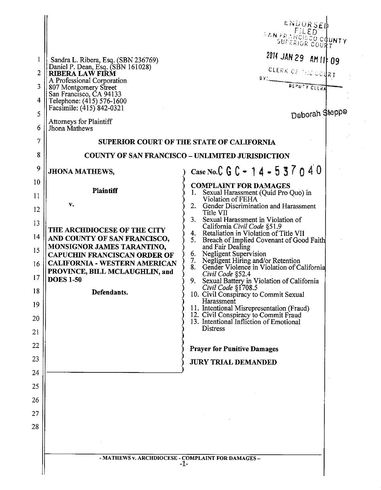| 1<br>2<br>3<br>4<br>5<br>6<br>7<br>8<br>9                            | Sandra L. Ribera, Esq. (SBN 236769)<br>Daniel P. Dean, Esq. (SBN 161028)<br><b>RIBERA LAW FIRM</b><br>A Professional Corporation<br>807 Montgomery Street<br>San Francisco, CA 94133<br>Telephone: (415) 576-1600<br>Facsimile: (415) 842-0321<br>Attorneys for Plaintiff<br>Jhona Mathews<br><b>JHONA MATHEWS,</b> | ENDORSED<br>FILED<br><b>SAN FRAMOTSOO COUNTY</b><br>2014 JAN 29 AM 11 09<br>CLERK OF THE COURT<br>BY: BEPUTY CLERK<br>Deborah Steppe<br>SUPERIOR COURT OF THE STATE OF CALIFORNIA<br><b>COUNTY OF SAN FRANCISCO - UNLIMITED JURISDICTION</b><br>Case No.C G C - 14 - 537040                                                                                                                                                                                                                                                                                                                                                                                                                                                                                              |
|----------------------------------------------------------------------|---------------------------------------------------------------------------------------------------------------------------------------------------------------------------------------------------------------------------------------------------------------------------------------------------------------------|--------------------------------------------------------------------------------------------------------------------------------------------------------------------------------------------------------------------------------------------------------------------------------------------------------------------------------------------------------------------------------------------------------------------------------------------------------------------------------------------------------------------------------------------------------------------------------------------------------------------------------------------------------------------------------------------------------------------------------------------------------------------------|
| 10<br>11<br>12<br>13<br>14<br>15<br>16<br>17<br>18<br>19<br>20<br>21 | <b>Plaintiff</b><br>$V_{\bullet}$<br>THE ARCHDIOCESE OF THE CITY<br>AND COUNTY OF SAN FRANCISCO,<br>MONSIGNOR JAMES TARANTINO,<br><b>CAPUCHIN FRANCISCAN ORDER OF</b><br><b>CALIFORNIA - WESTERN AMERICAN</b><br>PROVINCE, BILL MCLAUGHLIN, and<br><b>DOES 1-50</b><br>Defendants.                                  | <b>COMPLAINT FOR DAMAGES</b><br>Sexual Harassment (Quid Pro Quo) in<br>1.<br>Violation of FEHA<br>2. Gender Discrimination and Harassment<br>Title VII<br>3. Sexual Harassment in Violation of<br>California Civil Code §51.9<br>4. Retaliation in Violation of Title VII<br>5. Breach of Implied Covenant of Good Faith<br>and Fair Dealing<br>6. Negligent Supervision<br>7. Negligent Hiring and/or Retention<br>8.<br>Gender Violence in Violation of California<br>Civil Code §52.4<br>9. Sexual Battery in Violation of California<br>Civil Code §1708.5<br>10. Civil Conspiracy to Commit Sexual<br>Harassment<br>11. Intentional Misrepresentation (Fraud)<br>12. Civil Conspiracy to Commit Fraud<br>13. Intentional Infliction of Emotional<br><b>Distress</b> |
| 22<br>23                                                             |                                                                                                                                                                                                                                                                                                                     | <b>Prayer for Punitive Damages</b>                                                                                                                                                                                                                                                                                                                                                                                                                                                                                                                                                                                                                                                                                                                                       |
| 24                                                                   |                                                                                                                                                                                                                                                                                                                     | <b>JURY TRIAL DEMANDED</b>                                                                                                                                                                                                                                                                                                                                                                                                                                                                                                                                                                                                                                                                                                                                               |
| 25                                                                   |                                                                                                                                                                                                                                                                                                                     |                                                                                                                                                                                                                                                                                                                                                                                                                                                                                                                                                                                                                                                                                                                                                                          |
| 26                                                                   |                                                                                                                                                                                                                                                                                                                     |                                                                                                                                                                                                                                                                                                                                                                                                                                                                                                                                                                                                                                                                                                                                                                          |
| 27                                                                   |                                                                                                                                                                                                                                                                                                                     |                                                                                                                                                                                                                                                                                                                                                                                                                                                                                                                                                                                                                                                                                                                                                                          |
| 28                                                                   | - MATHEWS v. ARCHDIOCESE - COMPLAINT FOR DAMAGES -                                                                                                                                                                                                                                                                  | $-1-$                                                                                                                                                                                                                                                                                                                                                                                                                                                                                                                                                                                                                                                                                                                                                                    |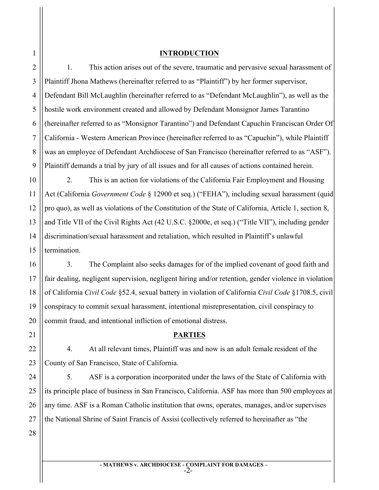### **INTRODUCTION**

1. This action arises out of the severe, traumatic and pervasive sexual harassment of Plaintiff Jhona Mathews (hereinafter referred to as "Plaintiff") by her former supervisor, Defendant Bill McLaughlin (hereinafter referred to as "Defendant McLaughlin"), as well as the hostile work environment created and allowed by Defendant Monsignor James Tarantino (hereinafter referred to as "Monsignor Tarantino") and Defendant Capuchin Franciscan Order Of California - Western American Province (hereinafter referred to as "Capuchin"), while Plaintiff was an employee of Defendant Archdiocese of San Francisco (hereinafter referred to as "ASF"). Plaintiff demands a trial by jury of all issues and for all causes of actions contained herein.

2. This is an action for violations of the California Fair Employment and Housing Act (California *Government Code* § 12900 et seq.) ("FEHA"), including sexual harassment (quid pro quo), as well as violations of the Constitution of the State of California, Article 1, section 8, and Title VII of the Civil Rights Act (42 U.S.C. §2000e, et seq.) ("Title VII"), including gender discrimination/sexual harassment and retaliation, which resulted in Plaintiff's unlawful termination.

3. The Complaint also seeks damages for of the implied covenant of good faith and fair dealing, negligent supervision, negligent hiring and/or retention, gender violence in violation of California *Civil Code* §52.4, sexual battery in violation of California *Civil Code* §1708.5, civil conspiracy to commit sexual harassment, intentional misrepresentation, civil conspiracy to commit fraud, and intentional infliction of emotional distress.

#### **PARTIES**

4. At all relevant times, Plaintiff was and now is an adult female resident of the County of San Francisco, State of California.

5. ASF is a corporation incorporated under the laws of the State of California with its principle place of business in San Francisco, California. ASF has more than 500 employees at any time. ASF is a Roman Catholic institution that owns, operates, manages, and/or supervises the National Shrine of Saint Francis of Assisi (collectively referred to hereinafter as "the

1

2

3

4

5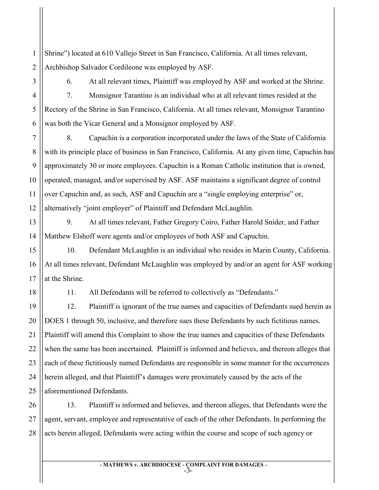1 2 Shrine") located at 610 Vallejo Street in San Francisco, California. At all times relevant, Archbishop Salvador Cordileone was employed by ASF.

3

4

5

6

7

8

9

10

11

12

15

16

17

18

6. At all relevant times, Plaintiff was employed by ASF and worked at the Shrine. 7. Monsignor Tarantino is an individual who at all relevant times resided at the Rectory of the Shrine in San Francisco, California. At all times relevant, Monsignor Tarantino was both the Vicar General and a Monsignor employed by ASF.

8. Capuchin is a corporation incorporated under the laws of the State of California with its principle place of business in San Francisco, California. At any given time, Capuchin has approximately 30 or more employees. Capuchin is a Roman Catholic institution that is owned, operated, managed, and/or supervised by ASF. ASF maintains a significant degree of control over Capuchin and, as such, ASF and Capuchin are a "single employing enterprise" or, alternatively "joint employer" of Plaintiff and Defendant McLaughlin.

13 14 9. At all times relevant, Father Gregory Coiro, Father Harold Snider, and Father Matthew Elshoff were agents and/or employees of both ASF and Capuchin.

10. Defendant McLaughlin is an individual who resides in Marin County, California. At all times relevant, Defendant McLaughlin was employed by and/or an agent for ASF working at the Shrine.

11. All Defendants will be referred to collectively as "Defendants."

19 20 21 22 23 24 25 12. Plaintiff is ignorant of the true names and capacities of Defendants sued herein as DOES 1 through 50, inclusive, and therefore sues these Defendants by such fictitious names. Plaintiff will amend this Complaint to show the true names and capacities of these Defendants when the same has been ascertained. Plaintiff is informed and believes, and thereon alleges that each of these fictitiously named Defendants are responsible in some manner for the occurrences herein alleged, and that Plaintiff's damages were proximately caused by the acts of the aforementioned Defendants.

26 27 28 13. Plaintiff is informed and believes, and thereon alleges, that Defendants were the agent, servant, employee and representative of each of the other Defendants. In performing the acts herein alleged, Defendants were acting within the course and scope of such agency or

> **- MATHEWS v. ARCHDIOCESE - COMPLAINT FOR DAMAGES –** -3-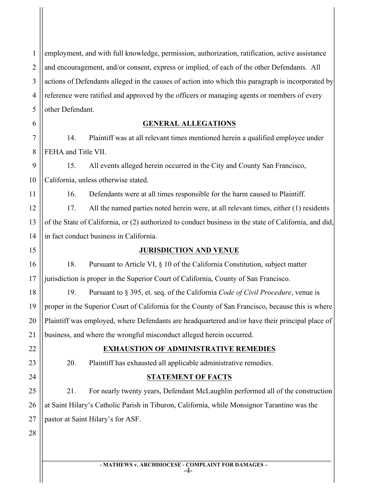1 2 3 4 5 employment, and with full knowledge, permission, authorization, ratification, active assistance and encouragement, and/or consent, express or implied, of each of the other Defendants. All actions of Defendants alleged in the causes of action into which this paragraph is incorporated by reference were ratified and approved by the officers or managing agents or members of every other Defendant.

### **GENERAL ALLEGATIONS**

14. Plaintiff was at all relevant times mentioned herein a qualified employee under FEHA and Title VII.

9 10 15. All events alleged herein occurred in the City and County San Francisco, California, unless otherwise stated.

16. Defendants were at all times responsible for the harm caused to Plaintiff.

12 13 14 17. All the named parties noted herein were, at all relevant times, either (1) residents of the State of California, or (2) authorized to conduct business in the state of California, and did, in fact conduct business in California.

# **JURISDICTION AND VENUE**

18. Pursuant to Article VI, § 10 of the California Constitution, subject matter jurisdiction is proper in the Superior Court of California, County of San Francisco.

19. Pursuant to § 395, et. seq. of the California *Code of Civil Procedure*, venue is proper in the Superior Court of California for the County of San Francisco, because this is where Plaintiff was employed, where Defendants are headquartered and/or have their principal place of business, and where the wrongful misconduct alleged herein occurred.

6

7

8

11

15

16

17

18

19

20

21

22

23

24

25

26

27

# **EXHAUSTION OF ADMINISTRATIVE REMEDIES**

20. Plaintiff has exhausted all applicable administrative remedies.

# **STATEMENT OF FACTS**

21. For nearly twenty years, Defendant McLaughlin performed all of the construction at Saint Hilary's Catholic Parish in Tiburon, California, while Monsignor Tarantino was the pastor at Saint Hilary's for ASF.

28

**- MATHEWS v. ARCHDIOCESE - COMPLAINT FOR DAMAGES –**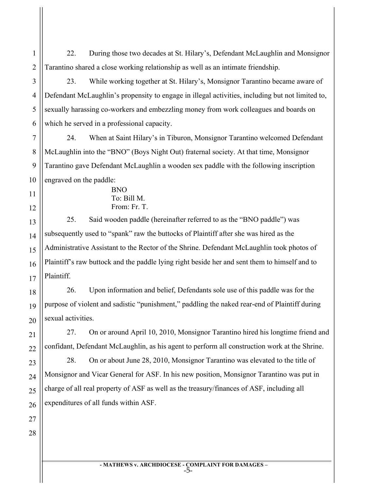22. During those two decades at St. Hilary's, Defendant McLaughlin and Monsignor Tarantino shared a close working relationship as well as an intimate friendship.

1

2

3

4

5

6

7

8

9

10

11

12

13

14

15

16

17

18

19

20

21

22

23

24

25

26

23. While working together at St. Hilary's, Monsignor Tarantino became aware of Defendant McLaughlin's propensity to engage in illegal activities, including but not limited to, sexually harassing co-workers and embezzling money from work colleagues and boards on which he served in a professional capacity.

24. When at Saint Hilary's in Tiburon, Monsignor Tarantino welcomed Defendant McLaughlin into the "BNO" (Boys Night Out) fraternal society. At that time, Monsignor Tarantino gave Defendant McLaughlin a wooden sex paddle with the following inscription engraved on the paddle:

> BNO To: Bill M. From: Fr. T.

25. Said wooden paddle (hereinafter referred to as the "BNO paddle") was subsequently used to "spank" raw the buttocks of Plaintiff after she was hired as the Administrative Assistant to the Rector of the Shrine. Defendant McLaughlin took photos of Plaintiff's raw buttock and the paddle lying right beside her and sent them to himself and to Plaintiff.

26. Upon information and belief, Defendants sole use of this paddle was for the purpose of violent and sadistic "punishment," paddling the naked rear-end of Plaintiff during sexual activities.

27. On or around April 10, 2010, Monsignor Tarantino hired his longtime friend and confidant, Defendant McLaughlin, as his agent to perform all construction work at the Shrine.

28. On or about June 28, 2010, Monsignor Tarantino was elevated to the title of Monsignor and Vicar General for ASF. In his new position, Monsignor Tarantino was put in charge of all real property of ASF as well as the treasury/finances of ASF, including all expenditures of all funds within ASF.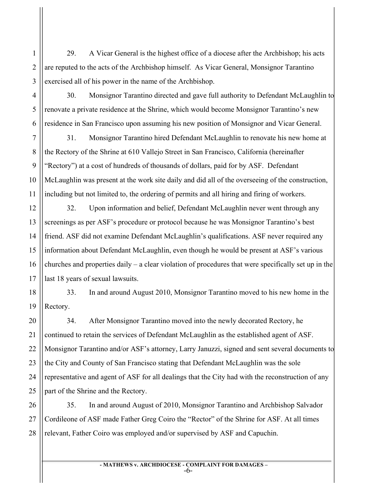29. A Vicar General is the highest office of a diocese after the Archbishop; his acts are reputed to the acts of the Archbishop himself. As Vicar General, Monsignor Tarantino exercised all of his power in the name of the Archbishop.

1

2

3

4

5

6

7

8

9

10

11

12

13

14

15

16

17

20

21

22

23

24

25

30. Monsignor Tarantino directed and gave full authority to Defendant McLaughlin to renovate a private residence at the Shrine, which would become Monsignor Tarantino's new residence in San Francisco upon assuming his new position of Monsignor and Vicar General.

31. Monsignor Tarantino hired Defendant McLaughlin to renovate his new home at the Rectory of the Shrine at 610 Vallejo Street in San Francisco, California (hereinafter "Rectory") at a cost of hundreds of thousands of dollars, paid for by ASF. Defendant McLaughlin was present at the work site daily and did all of the overseeing of the construction, including but not limited to, the ordering of permits and all hiring and firing of workers.

32. Upon information and belief, Defendant McLaughlin never went through any screenings as per ASF's procedure or protocol because he was Monsignor Tarantino's best friend. ASF did not examine Defendant McLaughlin's qualifications. ASF never required any information about Defendant McLaughlin, even though he would be present at ASF's various churches and properties daily – a clear violation of procedures that were specifically set up in the last 18 years of sexual lawsuits.

18 19 33. In and around August 2010, Monsignor Tarantino moved to his new home in the Rectory.

34. After Monsignor Tarantino moved into the newly decorated Rectory, he continued to retain the services of Defendant McLaughlin as the established agent of ASF. Monsignor Tarantino and/or ASF's attorney, Larry Januzzi, signed and sent several documents to the City and County of San Francisco stating that Defendant McLaughlin was the sole representative and agent of ASF for all dealings that the City had with the reconstruction of any part of the Shrine and the Rectory.

26 27 28 35. In and around August of 2010, Monsignor Tarantino and Archbishop Salvador Cordileone of ASF made Father Greg Coiro the "Rector" of the Shrine for ASF. At all times relevant, Father Coiro was employed and/or supervised by ASF and Capuchin.

**- MATHEWS v. ARCHDIOCESE - COMPLAINT FOR DAMAGES –**

-6-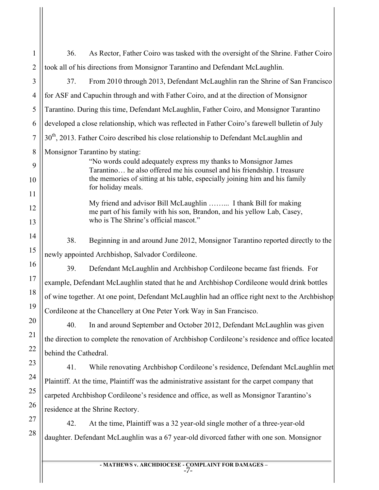1 2 3 4 5 6 7 8 9 10 11 12 13 14 15 16 17 18 19 20 21 22 23 24 25 26 27 28 36. As Rector, Father Coiro was tasked with the oversight of the Shrine. Father Coiro took all of his directions from Monsignor Tarantino and Defendant McLaughlin. 37. From 2010 through 2013, Defendant McLaughlin ran the Shrine of San Francisco for ASF and Capuchin through and with Father Coiro, and at the direction of Monsignor Tarantino. During this time, Defendant McLaughlin, Father Coiro, and Monsignor Tarantino developed a close relationship, which was reflected in Father Coiro's farewell bulletin of July 30<sup>th</sup>, 2013. Father Coiro described his close relationship to Defendant McLaughlin and Monsignor Tarantino by stating: "No words could adequately express my thanks to Monsignor James Tarantino… he also offered me his counsel and his friendship. I treasure the memories of sitting at his table, especially joining him and his family for holiday meals. My friend and advisor Bill McLaughlin ……... I thank Bill for making me part of his family with his son, Brandon, and his yellow Lab, Casey, who is The Shrine's official mascot." 38. Beginning in and around June 2012, Monsignor Tarantino reported directly to the newly appointed Archbishop, Salvador Cordileone. 39. Defendant McLaughlin and Archbishop Cordileone became fast friends. For example, Defendant McLaughlin stated that he and Archbishop Cordileone would drink bottles of wine together. At one point, Defendant McLaughlin had an office right next to the Archbishop Cordileone at the Chancellery at One Peter York Way in San Francisco. 40. In and around September and October 2012, Defendant McLaughlin was given the direction to complete the renovation of Archbishop Cordileone's residence and office located behind the Cathedral. 41. While renovating Archbishop Cordileone's residence, Defendant McLaughlin met Plaintiff. At the time, Plaintiff was the administrative assistant for the carpet company that carpeted Archbishop Cordileone's residence and office, as well as Monsignor Tarantino's residence at the Shrine Rectory. 42. At the time, Plaintiff was a 32 year-old single mother of a three-year-old daughter. Defendant McLaughlin was a 67 year-old divorced father with one son. Monsignor

**- MATHEWS v. ARCHDIOCESE - COMPLAINT FOR DAMAGES –**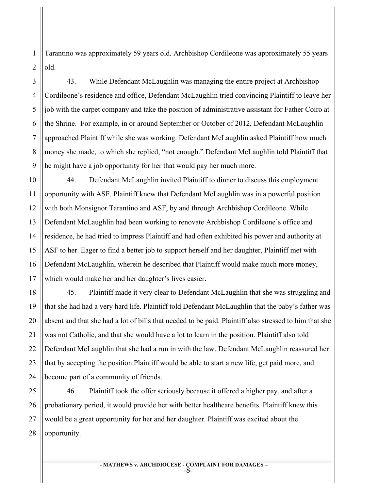1 2 Tarantino was approximately 59 years old. Archbishop Cordileone was approximately 55 years old.

43. While Defendant McLaughlin was managing the entire project at Archbishop Cordileone's residence and office, Defendant McLaughlin tried convincing Plaintiff to leave her job with the carpet company and take the position of administrative assistant for Father Coiro at the Shrine. For example, in or around September or October of 2012, Defendant McLaughlin approached Plaintiff while she was working. Defendant McLaughlin asked Plaintiff how much money she made, to which she replied, "not enough." Defendant McLaughlin told Plaintiff that he might have a job opportunity for her that would pay her much more.

44. Defendant McLaughlin invited Plaintiff to dinner to discuss this employment opportunity with ASF. Plaintiff knew that Defendant McLaughlin was in a powerful position with both Monsignor Tarantino and ASF, by and through Archbishop Cordileone. While Defendant McLaughlin had been working to renovate Archbishop Cordileone's office and residence, he had tried to impress Plaintiff and had often exhibited his power and authority at ASF to her. Eager to find a better job to support herself and her daughter, Plaintiff met with Defendant McLaughlin, wherein he described that Plaintiff would make much more money, which would make her and her daughter's lives easier.

45. Plaintiff made it very clear to Defendant McLaughlin that she was struggling and that she had had a very hard life. Plaintiff told Defendant McLaughlin that the baby's father was absent and that she had a lot of bills that needed to be paid. Plaintiff also stressed to him that she was not Catholic, and that she would have a lot to learn in the position. Plaintiff also told Defendant McLaughlin that she had a run in with the law. Defendant McLaughlin reassured her that by accepting the position Plaintiff would be able to start a new life, get paid more, and become part of a community of friends.

46. Plaintiff took the offer seriously because it offered a higher pay, and after a probationary period, it would provide her with better healthcare benefits. Plaintiff knew this would be a great opportunity for her and her daughter. Plaintiff was excited about the opportunity.

> **- MATHEWS v. ARCHDIOCESE - COMPLAINT FOR DAMAGES –** -8-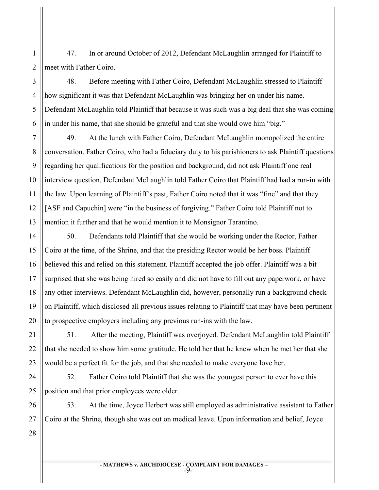47. In or around October of 2012, Defendant McLaughlin arranged for Plaintiff to meet with Father Coiro.

48. Before meeting with Father Coiro, Defendant McLaughlin stressed to Plaintiff how significant it was that Defendant McLaughlin was bringing her on under his name. Defendant McLaughlin told Plaintiff that because it was such was a big deal that she was coming in under his name, that she should be grateful and that she would owe him "big."

13 49. At the lunch with Father Coiro, Defendant McLaughlin monopolized the entire conversation. Father Coiro, who had a fiduciary duty to his parishioners to ask Plaintiff questions regarding her qualifications for the position and background, did not ask Plaintiff one real interview question. Defendant McLaughlin told Father Coiro that Plaintiff had had a run-in with the law. Upon learning of Plaintiff's past, Father Coiro noted that it was "fine" and that they [ASF and Capuchin] were "in the business of forgiving." Father Coiro told Plaintiff not to mention it further and that he would mention it to Monsignor Tarantino.

50. Defendants told Plaintiff that she would be working under the Rector, Father Coiro at the time, of the Shrine, and that the presiding Rector would be her boss. Plaintiff believed this and relied on this statement. Plaintiff accepted the job offer. Plaintiff was a bit surprised that she was being hired so easily and did not have to fill out any paperwork, or have any other interviews. Defendant McLaughlin did, however, personally run a background check on Plaintiff, which disclosed all previous issues relating to Plaintiff that may have been pertinent to prospective employers including any previous run-ins with the law.

51. After the meeting, Plaintiff was overjoyed. Defendant McLaughlin told Plaintiff that she needed to show him some gratitude. He told her that he knew when he met her that she would be a perfect fit for the job, and that she needed to make everyone love her.

52. Father Coiro told Plaintiff that she was the youngest person to ever have this position and that prior employees were older.

53. At the time, Joyce Herbert was still employed as administrative assistant to Father Coiro at the Shrine, though she was out on medical leave. Upon information and belief, Joyce

28

1

2

3

4

5

6

7

8

9

10

11

12

14

15

16

17

18

19

20

21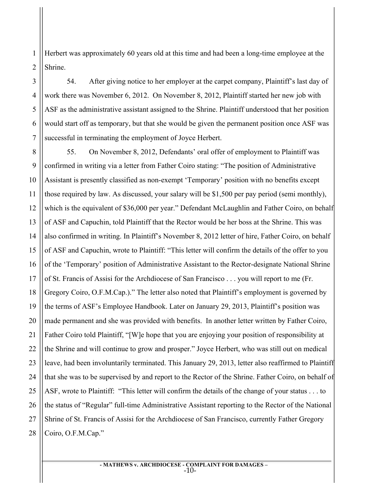1 2 Herbert was approximately 60 years old at this time and had been a long-time employee at the Shrine.

54. After giving notice to her employer at the carpet company, Plaintiff's last day of work there was November 6, 2012. On November 8, 2012, Plaintiff started her new job with ASF as the administrative assistant assigned to the Shrine. Plaintiff understood that her position would start off as temporary, but that she would be given the permanent position once ASF was successful in terminating the employment of Joyce Herbert.

28 55. On November 8, 2012, Defendants' oral offer of employment to Plaintiff was confirmed in writing via a letter from Father Coiro stating: "The position of Administrative Assistant is presently classified as non-exempt 'Temporary' position with no benefits except those required by law. As discussed, your salary will be \$1,500 per pay period (semi monthly), which is the equivalent of \$36,000 per year." Defendant McLaughlin and Father Coiro, on behalf of ASF and Capuchin, told Plaintiff that the Rector would be her boss at the Shrine. This was also confirmed in writing. In Plaintiff's November 8, 2012 letter of hire, Father Coiro, on behalf of ASF and Capuchin, wrote to Plaintiff: "This letter will confirm the details of the offer to you of the 'Temporary' position of Administrative Assistant to the Rector-designate National Shrine of St. Francis of Assisi for the Archdiocese of San Francisco . . . you will report to me (Fr. Gregory Coiro, O.F.M.Cap.)." The letter also noted that Plaintiff's employment is governed by the terms of ASF's Employee Handbook. Later on January 29, 2013, Plaintiff's position was made permanent and she was provided with benefits. In another letter written by Father Coiro, Father Coiro told Plaintiff, "[W]e hope that you are enjoying your position of responsibility at the Shrine and will continue to grow and prosper." Joyce Herbert, who was still out on medical leave, had been involuntarily terminated. This January 29, 2013, letter also reaffirmed to Plaintiff that she was to be supervised by and report to the Rector of the Shrine. Father Coiro, on behalf of ASF, wrote to Plaintiff: "This letter will confirm the details of the change of your status . . . to the status of "Regular" full-time Administrative Assistant reporting to the Rector of the National Shrine of St. Francis of Assisi for the Archdiocese of San Francisco, currently Father Gregory Coiro, O.F.M.Cap."

> **- MATHEWS v. ARCHDIOCESE - COMPLAINT FOR DAMAGES –** -10-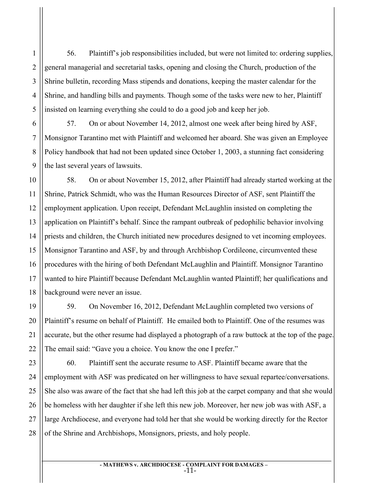56. Plaintiff's job responsibilities included, but were not limited to: ordering supplies, general managerial and secretarial tasks, opening and closing the Church, production of the Shrine bulletin, recording Mass stipends and donations, keeping the master calendar for the Shrine, and handling bills and payments. Though some of the tasks were new to her, Plaintiff insisted on learning everything she could to do a good job and keep her job.

57. On or about November 14, 2012, almost one week after being hired by ASF, Monsignor Tarantino met with Plaintiff and welcomed her aboard. She was given an Employee Policy handbook that had not been updated since October 1, 2003, a stunning fact considering the last several years of lawsuits.

58. On or about November 15, 2012, after Plaintiff had already started working at the Shrine, Patrick Schmidt, who was the Human Resources Director of ASF, sent Plaintiff the employment application. Upon receipt, Defendant McLaughlin insisted on completing the application on Plaintiff's behalf. Since the rampant outbreak of pedophilic behavior involving priests and children, the Church initiated new procedures designed to vet incoming employees. Monsignor Tarantino and ASF, by and through Archbishop Cordileone, circumvented these procedures with the hiring of both Defendant McLaughlin and Plaintiff. Monsignor Tarantino wanted to hire Plaintiff because Defendant McLaughlin wanted Plaintiff; her qualifications and background were never an issue.

59. On November 16, 2012, Defendant McLaughlin completed two versions of Plaintiff's resume on behalf of Plaintiff. He emailed both to Plaintiff. One of the resumes was accurate, but the other resume had displayed a photograph of a raw buttock at the top of the page. The email said: "Gave you a choice. You know the one I prefer."

60. Plaintiff sent the accurate resume to ASF. Plaintiff became aware that the employment with ASF was predicated on her willingness to have sexual repartee/conversations. She also was aware of the fact that she had left this job at the carpet company and that she would be homeless with her daughter if she left this new job. Moreover, her new job was with ASF, a large Archdiocese, and everyone had told her that she would be working directly for the Rector of the Shrine and Archbishops, Monsignors, priests, and holy people.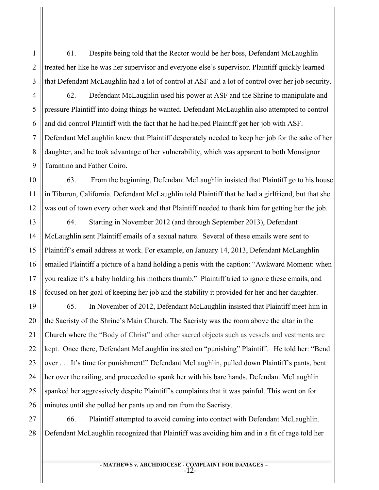61. Despite being told that the Rector would be her boss, Defendant McLaughlin treated her like he was her supervisor and everyone else's supervisor. Plaintiff quickly learned that Defendant McLaughlin had a lot of control at ASF and a lot of control over her job security.

4 5 6 7 8 9 62. Defendant McLaughlin used his power at ASF and the Shrine to manipulate and pressure Plaintiff into doing things he wanted. Defendant McLaughlin also attempted to control and did control Plaintiff with the fact that he had helped Plaintiff get her job with ASF. Defendant McLaughlin knew that Plaintiff desperately needed to keep her job for the sake of her daughter, and he took advantage of her vulnerability, which was apparent to both Monsignor Tarantino and Father Coiro.

12 63. From the beginning, Defendant McLaughlin insisted that Plaintiff go to his house in Tiburon, California. Defendant McLaughlin told Plaintiff that he had a girlfriend, but that she was out of town every other week and that Plaintiff needed to thank him for getting her the job.

13 14 15 16 18 64. Starting in November 2012 (and through September 2013), Defendant McLaughlin sent Plaintiff emails of a sexual nature. Several of these emails were sent to Plaintiff's email address at work. For example, on January 14, 2013, Defendant McLaughlin emailed Plaintiff a picture of a hand holding a penis with the caption: "Awkward Moment: when you realize it's a baby holding his mothers thumb." Plaintiff tried to ignore these emails, and focused on her goal of keeping her job and the stability it provided for her and her daughter.

19 20 21 22 23 24 25 26 65. In November of 2012, Defendant McLaughlin insisted that Plaintiff meet him in the Sacristy of the Shrine's Main Church. The Sacristy was the room above the altar in the Church where the "Body of Christ" and other sacred objects such as vessels and vestments are kept. Once there, Defendant McLaughlin insisted on "punishing" Plaintiff. He told her: "Bend over . . . It's time for punishment!" Defendant McLaughlin, pulled down Plaintiff's pants, bent her over the railing, and proceeded to spank her with his bare hands. Defendant McLaughlin spanked her aggressively despite Plaintiff's complaints that it was painful. This went on for minutes until she pulled her pants up and ran from the Sacristy.

27 28 66. Plaintiff attempted to avoid coming into contact with Defendant McLaughlin. Defendant McLaughlin recognized that Plaintiff was avoiding him and in a fit of rage told her

> **- MATHEWS v. ARCHDIOCESE - COMPLAINT FOR DAMAGES –** -12-

1

2

3

10

11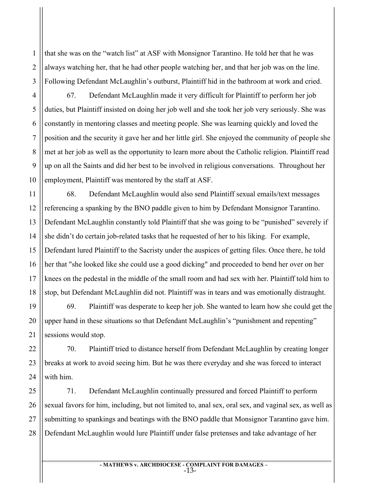2 that she was on the "watch list" at ASF with Monsignor Tarantino. He told her that he was always watching her, that he had other people watching her, and that her job was on the line. Following Defendant McLaughlin's outburst, Plaintiff hid in the bathroom at work and cried.

67. Defendant McLaughlin made it very difficult for Plaintiff to perform her job duties, but Plaintiff insisted on doing her job well and she took her job very seriously. She was constantly in mentoring classes and meeting people. She was learning quickly and loved the position and the security it gave her and her little girl. She enjoyed the community of people she met at her job as well as the opportunity to learn more about the Catholic religion. Plaintiff read up on all the Saints and did her best to be involved in religious conversations. Throughout her employment, Plaintiff was mentored by the staff at ASF.

68. Defendant McLaughlin would also send Plaintiff sexual emails/text messages referencing a spanking by the BNO paddle given to him by Defendant Monsignor Tarantino. Defendant McLaughlin constantly told Plaintiff that she was going to be "punished" severely if she didn't do certain job-related tasks that he requested of her to his liking. For example, Defendant lured Plaintiff to the Sacristy under the auspices of getting files. Once there, he told her that "she looked like she could use a good dicking" and proceeded to bend her over on her knees on the pedestal in the middle of the small room and had sex with her. Plaintiff told him to stop, but Defendant McLaughlin did not. Plaintiff was in tears and was emotionally distraught.

69. Plaintiff was desperate to keep her job. She wanted to learn how she could get the upper hand in these situations so that Defendant McLaughlin's "punishment and repenting" sessions would stop.

70. Plaintiff tried to distance herself from Defendant McLaughlin by creating longer breaks at work to avoid seeing him. But he was there everyday and she was forced to interact with him.

71. Defendant McLaughlin continually pressured and forced Plaintiff to perform sexual favors for him, including, but not limited to, anal sex, oral sex, and vaginal sex, as well as submitting to spankings and beatings with the BNO paddle that Monsignor Tarantino gave him. Defendant McLaughlin would lure Plaintiff under false pretenses and take advantage of her

> **- MATHEWS v. ARCHDIOCESE - COMPLAINT FOR DAMAGES –** -13-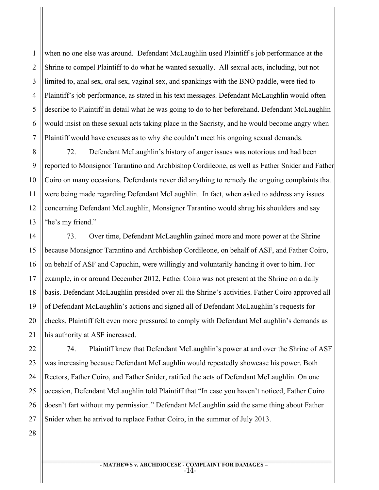2 3 4 5 6 7 when no one else was around. Defendant McLaughlin used Plaintiff's job performance at the Shrine to compel Plaintiff to do what he wanted sexually. All sexual acts, including, but not limited to, anal sex, oral sex, vaginal sex, and spankings with the BNO paddle, were tied to Plaintiff's job performance, as stated in his text messages. Defendant McLaughlin would often describe to Plaintiff in detail what he was going to do to her beforehand. Defendant McLaughlin would insist on these sexual acts taking place in the Sacristy, and he would become angry when Plaintiff would have excuses as to why she couldn't meet his ongoing sexual demands.

8 9 10 11 12 13 72. Defendant McLaughlin's history of anger issues was notorious and had been reported to Monsignor Tarantino and Archbishop Cordileone, as well as Father Snider and Father Coiro on many occasions. Defendants never did anything to remedy the ongoing complaints that were being made regarding Defendant McLaughlin. In fact, when asked to address any issues concerning Defendant McLaughlin, Monsignor Tarantino would shrug his shoulders and say "he's my friend."

73. Over time, Defendant McLaughlin gained more and more power at the Shrine because Monsignor Tarantino and Archbishop Cordileone, on behalf of ASF, and Father Coiro, on behalf of ASF and Capuchin, were willingly and voluntarily handing it over to him. For example, in or around December 2012, Father Coiro was not present at the Shrine on a daily basis. Defendant McLaughlin presided over all the Shrine's activities. Father Coiro approved all of Defendant McLaughlin's actions and signed all of Defendant McLaughlin's requests for checks. Plaintiff felt even more pressured to comply with Defendant McLaughlin's demands as his authority at ASF increased.

74. Plaintiff knew that Defendant McLaughlin's power at and over the Shrine of ASF was increasing because Defendant McLaughlin would repeatedly showcase his power. Both Rectors, Father Coiro, and Father Snider, ratified the acts of Defendant McLaughlin. On one occasion, Defendant McLaughlin told Plaintiff that "In case you haven't noticed, Father Coiro doesn't fart without my permission." Defendant McLaughlin said the same thing about Father Snider when he arrived to replace Father Coiro, in the summer of July 2013.

14

15

16

17

18

19

20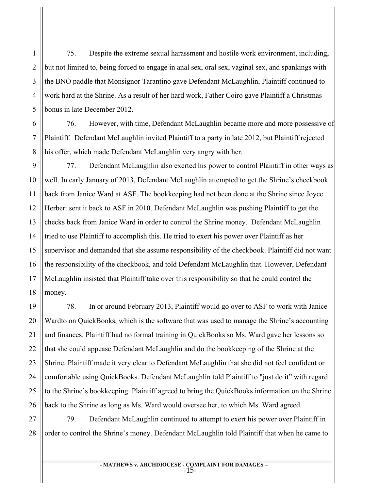75. Despite the extreme sexual harassment and hostile work environment, including, but not limited to, being forced to engage in anal sex, oral sex, vaginal sex, and spankings with the BNO paddle that Monsignor Tarantino gave Defendant McLaughlin, Plaintiff continued to work hard at the Shrine. As a result of her hard work, Father Coiro gave Plaintiff a Christmas bonus in late December 2012.

76. However, with time, Defendant McLaughlin became more and more possessive of Plaintiff. Defendant McLaughlin invited Plaintiff to a party in late 2012, but Plaintiff rejected his offer, which made Defendant McLaughlin very angry with her.

9 10 12 13 14 15 16 18 77. Defendant McLaughlin also exerted his power to control Plaintiff in other ways as well. In early January of 2013, Defendant McLaughlin attempted to get the Shrine's checkbook back from Janice Ward at ASF. The bookkeeping had not been done at the Shrine since Joyce Herbert sent it back to ASF in 2010. Defendant McLaughlin was pushing Plaintiff to get the checks back from Janice Ward in order to control the Shrine money. Defendant McLaughlin tried to use Plaintiff to accomplish this. He tried to exert his power over Plaintiff as her supervisor and demanded that she assume responsibility of the checkbook. Plaintiff did not want the responsibility of the checkbook, and told Defendant McLaughlin that. However, Defendant McLaughlin insisted that Plaintiff take over this responsibility so that he could control the money.

78. In or around February 2013, Plaintiff would go over to ASF to work with Janice Wardto on QuickBooks, which is the software that was used to manage the Shrine's accounting and finances. Plaintiff had no formal training in QuickBooks so Ms. Ward gave her lessons so that she could appease Defendant McLaughlin and do the bookkeeping of the Shrine at the Shrine. Plaintiff made it very clear to Defendant McLaughlin that she did not feel confident or comfortable using QuickBooks. Defendant McLaughlin told Plaintiff to "just do it" with regard to the Shrine's bookkeeping. Plaintiff agreed to bring the QuickBooks information on the Shrine back to the Shrine as long as Ms. Ward would oversee her, to which Ms. Ward agreed.

27 79. Defendant McLaughlin continued to attempt to exert his power over Plaintiff in order to control the Shrine's money. Defendant McLaughlin told Plaintiff that when he came to

> **- MATHEWS v. ARCHDIOCESE - COMPLAINT FOR DAMAGES –** -15-

17

1

2

3

4

5

6

7

8

11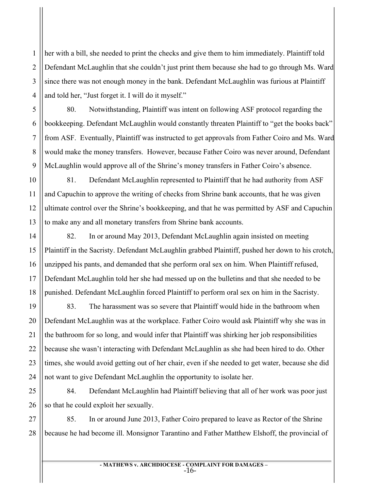1 2 3 4 her with a bill, she needed to print the checks and give them to him immediately. Plaintiff told Defendant McLaughlin that she couldn't just print them because she had to go through Ms. Ward since there was not enough money in the bank. Defendant McLaughlin was furious at Plaintiff and told her, "Just forget it. I will do it myself."

80. Notwithstanding, Plaintiff was intent on following ASF protocol regarding the bookkeeping. Defendant McLaughlin would constantly threaten Plaintiff to "get the books back" from ASF. Eventually, Plaintiff was instructed to get approvals from Father Coiro and Ms. Ward would make the money transfers. However, because Father Coiro was never around, Defendant McLaughlin would approve all of the Shrine's money transfers in Father Coiro's absence.

10 12 13 81. Defendant McLaughlin represented to Plaintiff that he had authority from ASF and Capuchin to approve the writing of checks from Shrine bank accounts, that he was given ultimate control over the Shrine's bookkeeping, and that he was permitted by ASF and Capuchin to make any and all monetary transfers from Shrine bank accounts.

82. In or around May 2013, Defendant McLaughlin again insisted on meeting Plaintiff in the Sacristy. Defendant McLaughlin grabbed Plaintiff, pushed her down to his crotch, unzipped his pants, and demanded that she perform oral sex on him. When Plaintiff refused, Defendant McLaughlin told her she had messed up on the bulletins and that she needed to be punished. Defendant McLaughlin forced Plaintiff to perform oral sex on him in the Sacristy.

83. The harassment was so severe that Plaintiff would hide in the bathroom when Defendant McLaughlin was at the workplace. Father Coiro would ask Plaintiff why she was in the bathroom for so long, and would infer that Plaintiff was shirking her job responsibilities because she wasn't interacting with Defendant McLaughlin as she had been hired to do. Other times, she would avoid getting out of her chair, even if she needed to get water, because she did not want to give Defendant McLaughlin the opportunity to isolate her.

84. Defendant McLaughlin had Plaintiff believing that all of her work was poor just so that he could exploit her sexually.

27 28 85. In or around June 2013, Father Coiro prepared to leave as Rector of the Shrine because he had become ill. Monsignor Tarantino and Father Matthew Elshoff, the provincial of

> **- MATHEWS v. ARCHDIOCESE - COMPLAINT FOR DAMAGES –** -16-

5

6

7

8

9

11

14

15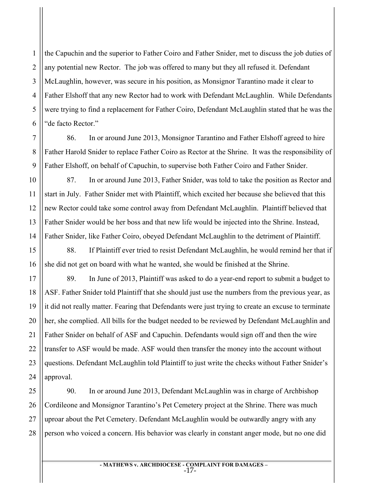2 the Capuchin and the superior to Father Coiro and Father Snider, met to discuss the job duties of any potential new Rector. The job was offered to many but they all refused it. Defendant McLaughlin, however, was secure in his position, as Monsignor Tarantino made it clear to Father Elshoff that any new Rector had to work with Defendant McLaughlin. While Defendants were trying to find a replacement for Father Coiro, Defendant McLaughlin stated that he was the "de facto Rector."

86. In or around June 2013, Monsignor Tarantino and Father Elshoff agreed to hire Father Harold Snider to replace Father Coiro as Rector at the Shrine. It was the responsibility of Father Elshoff, on behalf of Capuchin, to supervise both Father Coiro and Father Snider.

87. In or around June 2013, Father Snider, was told to take the position as Rector and start in July. Father Snider met with Plaintiff, which excited her because she believed that this new Rector could take some control away from Defendant McLaughlin. Plaintiff believed that Father Snider would be her boss and that new life would be injected into the Shrine. Instead, Father Snider, like Father Coiro, obeyed Defendant McLaughlin to the detriment of Plaintiff.

88. If Plaintiff ever tried to resist Defendant McLaughlin, he would remind her that if she did not get on board with what he wanted, she would be finished at the Shrine.

89. In June of 2013, Plaintiff was asked to do a year-end report to submit a budget to ASF. Father Snider told Plaintiff that she should just use the numbers from the previous year, as it did not really matter. Fearing that Defendants were just trying to create an excuse to terminate her, she complied. All bills for the budget needed to be reviewed by Defendant McLaughlin and Father Snider on behalf of ASF and Capuchin. Defendants would sign off and then the wire transfer to ASF would be made. ASF would then transfer the money into the account without questions. Defendant McLaughlin told Plaintiff to just write the checks without Father Snider's approval.

90. In or around June 2013, Defendant McLaughlin was in charge of Archbishop Cordileone and Monsignor Tarantino's Pet Cemetery project at the Shrine. There was much uproar about the Pet Cemetery. Defendant McLaughlin would be outwardly angry with any person who voiced a concern. His behavior was clearly in constant anger mode, but no one did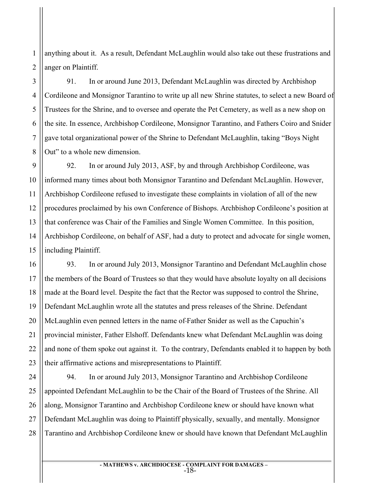2 anything about it. As a result, Defendant McLaughlin would also take out these frustrations and anger on Plaintiff.

1

3

4

5

6

7

8

17

18

21

22

23

91. In or around June 2013, Defendant McLaughlin was directed by Archbishop Cordileone and Monsignor Tarantino to write up all new Shrine statutes, to select a new Board of Trustees for the Shrine, and to oversee and operate the Pet Cemetery, as well as a new shop on the site. In essence, Archbishop Cordileone, Monsignor Tarantino, and Fathers Coiro and Snider gave total organizational power of the Shrine to Defendant McLaughlin, taking "Boys Night Out" to a whole new dimension.

9 10 11 12 13 14 15 92. In or around July 2013, ASF, by and through Archbishop Cordileone, was informed many times about both Monsignor Tarantino and Defendant McLaughlin. However, Archbishop Cordileone refused to investigate these complaints in violation of all of the new procedures proclaimed by his own Conference of Bishops. Archbishop Cordileone's position at that conference was Chair of the Families and Single Women Committee. In this position, Archbishop Cordileone, on behalf of ASF, had a duty to protect and advocate for single women, including Plaintiff.

16 19 20 93. In or around July 2013, Monsignor Tarantino and Defendant McLaughlin chose the members of the Board of Trustees so that they would have absolute loyalty on all decisions made at the Board level. Despite the fact that the Rector was supposed to control the Shrine, Defendant McLaughlin wrote all the statutes and press releases of the Shrine. Defendant McLaughlin even penned letters in the name of Father Snider as well as the Capuchin's provincial minister, Father Elshoff. Defendants knew what Defendant McLaughlin was doing and none of them spoke out against it. To the contrary, Defendants enabled it to happen by both their affirmative actions and misrepresentations to Plaintiff.

24 25 26 27 28 94. In or around July 2013, Monsignor Tarantino and Archbishop Cordileone appointed Defendant McLaughlin to be the Chair of the Board of Trustees of the Shrine. All along, Monsignor Tarantino and Archbishop Cordileone knew or should have known what Defendant McLaughlin was doing to Plaintiff physically, sexually, and mentally. Monsignor Tarantino and Archbishop Cordileone knew or should have known that Defendant McLaughlin

> **- MATHEWS v. ARCHDIOCESE - COMPLAINT FOR DAMAGES –** -18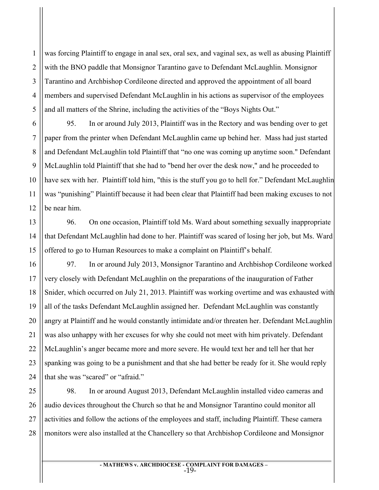2 was forcing Plaintiff to engage in anal sex, oral sex, and vaginal sex, as well as abusing Plaintiff with the BNO paddle that Monsignor Tarantino gave to Defendant McLaughlin. Monsignor Tarantino and Archbishop Cordileone directed and approved the appointment of all board members and supervised Defendant McLaughlin in his actions as supervisor of the employees and all matters of the Shrine, including the activities of the "Boys Nights Out."

95. In or around July 2013, Plaintiff was in the Rectory and was bending over to get paper from the printer when Defendant McLaughlin came up behind her. Mass had just started and Defendant McLaughlin told Plaintiff that "no one was coming up anytime soon." Defendant McLaughlin told Plaintiff that she had to "bend her over the desk now," and he proceeded to have sex with her. Plaintiff told him, "this is the stuff you go to hell for." Defendant McLaughlin was "punishing" Plaintiff because it had been clear that Plaintiff had been making excuses to not be near him.

96. On one occasion, Plaintiff told Ms. Ward about something sexually inappropriate that Defendant McLaughlin had done to her. Plaintiff was scared of losing her job, but Ms. Ward offered to go to Human Resources to make a complaint on Plaintiff's behalf.

97. In or around July 2013, Monsignor Tarantino and Archbishop Cordileone worked very closely with Defendant McLaughlin on the preparations of the inauguration of Father Snider, which occurred on July 21, 2013. Plaintiff was working overtime and was exhausted with all of the tasks Defendant McLaughlin assigned her. Defendant McLaughlin was constantly angry at Plaintiff and he would constantly intimidate and/or threaten her. Defendant McLaughlin was also unhappy with her excuses for why she could not meet with him privately. Defendant McLaughlin's anger became more and more severe. He would text her and tell her that her spanking was going to be a punishment and that she had better be ready for it. She would reply that she was "scared" or "afraid."

98. In or around August 2013, Defendant McLaughlin installed video cameras and audio devices throughout the Church so that he and Monsignor Tarantino could monitor all activities and follow the actions of the employees and staff, including Plaintiff. These camera monitors were also installed at the Chancellery so that Archbishop Cordileone and Monsignor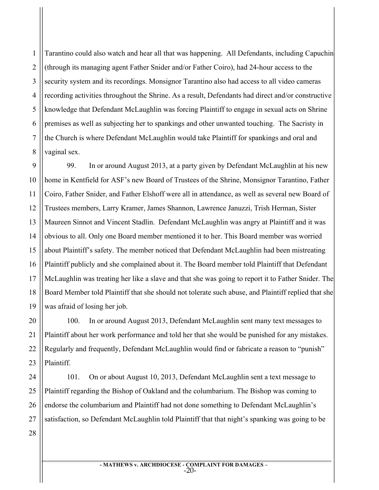1 2 3 4 5 6 7 8 Tarantino could also watch and hear all that was happening. All Defendants, including Capuchin (through its managing agent Father Snider and/or Father Coiro), had 24-hour access to the security system and its recordings. Monsignor Tarantino also had access to all video cameras recording activities throughout the Shrine. As a result, Defendants had direct and/or constructive knowledge that Defendant McLaughlin was forcing Plaintiff to engage in sexual acts on Shrine premises as well as subjecting her to spankings and other unwanted touching. The Sacristy in the Church is where Defendant McLaughlin would take Plaintiff for spankings and oral and vaginal sex.

9 10 11 12 13 14 15 16 17 18 19 99. In or around August 2013, at a party given by Defendant McLaughlin at his new home in Kentfield for ASF's new Board of Trustees of the Shrine, Monsignor Tarantino, Father Coiro, Father Snider, and Father Elshoff were all in attendance, as well as several new Board of Trustees members, Larry Kramer, James Shannon, Lawrence Januzzi, Trish Herman, Sister Maureen Sinnot and Vincent Stadlin. Defendant McLaughlin was angry at Plaintiff and it was obvious to all. Only one Board member mentioned it to her. This Board member was worried about Plaintiff's safety. The member noticed that Defendant McLaughlin had been mistreating Plaintiff publicly and she complained about it. The Board member told Plaintiff that Defendant McLaughlin was treating her like a slave and that she was going to report it to Father Snider. The Board Member told Plaintiff that she should not tolerate such abuse, and Plaintiff replied that she was afraid of losing her job.

100. In or around August 2013, Defendant McLaughlin sent many text messages to Plaintiff about her work performance and told her that she would be punished for any mistakes. Regularly and frequently, Defendant McLaughlin would find or fabricate a reason to "punish" **Plaintiff** 

101. On or about August 10, 2013, Defendant McLaughlin sent a text message to Plaintiff regarding the Bishop of Oakland and the columbarium. The Bishop was coming to endorse the columbarium and Plaintiff had not done something to Defendant McLaughlin's satisfaction, so Defendant McLaughlin told Plaintiff that that night's spanking was going to be

28

20

21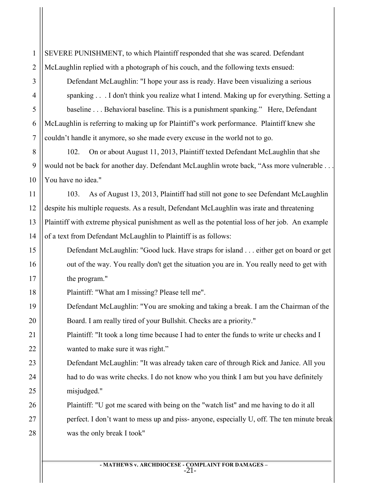SEVERE PUNISHMENT, to which Plaintiff responded that she was scared. Defendant McLaughlin replied with a photograph of his couch, and the following texts ensued:

Defendant McLaughlin: "I hope your ass is ready. Have been visualizing a serious spanking . . . I don't think you realize what I intend. Making up for everything. Setting a baseline . . . Behavioral baseline. This is a punishment spanking." Here, Defendant McLaughlin is referring to making up for Plaintiff's work performance. Plaintiff knew she couldn't handle it anymore, so she made every excuse in the world not to go.

102. On or about August 11, 2013, Plaintiff texted Defendant McLaughlin that she would not be back for another day. Defendant McLaughlin wrote back, "Ass more vulnerable . . . You have no idea."

103. As of August 13, 2013, Plaintiff had still not gone to see Defendant McLaughlin despite his multiple requests. As a result, Defendant McLaughlin was irate and threatening Plaintiff with extreme physical punishment as well as the potential loss of her job. An example of a text from Defendant McLaughlin to Plaintiff is as follows:

Defendant McLaughlin: "Good luck. Have straps for island . . . either get on board or get out of the way. You really don't get the situation you are in. You really need to get with the program."

Plaintiff: "What am I missing? Please tell me".

Defendant McLaughlin: "You are smoking and taking a break. I am the Chairman of the Board. I am really tired of your Bullshit. Checks are a priority."

Plaintiff: "It took a long time because I had to enter the funds to write ur checks and I wanted to make sure it was right."

Defendant McLaughlin: "It was already taken care of through Rick and Janice. All you had to do was write checks. I do not know who you think I am but you have definitely misjudged."

Plaintiff: "U got me scared with being on the "watch list" and me having to do it all perfect. I don't want to mess up and piss- anyone, especially U, off. The ten minute break was the only break I took"

> **- MATHEWS v. ARCHDIOCESE - COMPLAINT FOR DAMAGES –** -21-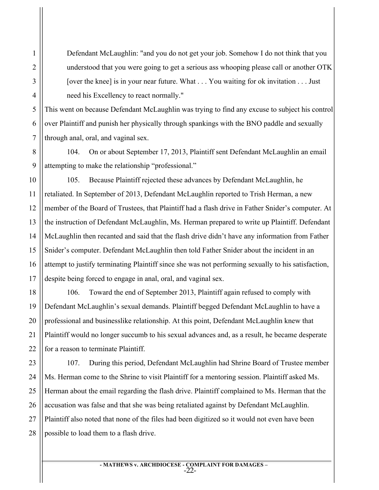Defendant McLaughlin: "and you do not get your job. Somehow I do not think that you understood that you were going to get a serious ass whooping please call or another OTK [over the knee] is in your near future. What . . . You waiting for ok invitation . . . Just need his Excellency to react normally."

This went on because Defendant McLaughlin was trying to find any excuse to subject his control over Plaintiff and punish her physically through spankings with the BNO paddle and sexually through anal, oral, and vaginal sex.

104. On or about September 17, 2013, Plaintiff sent Defendant McLaughlin an email attempting to make the relationship "professional."

105. Because Plaintiff rejected these advances by Defendant McLaughlin, he retaliated. In September of 2013, Defendant McLaughlin reported to Trish Herman, a new member of the Board of Trustees, that Plaintiff had a flash drive in Father Snider's computer. At the instruction of Defendant McLaughlin, Ms. Herman prepared to write up Plaintiff. Defendant McLaughlin then recanted and said that the flash drive didn't have any information from Father Snider's computer. Defendant McLaughlin then told Father Snider about the incident in an attempt to justify terminating Plaintiff since she was not performing sexually to his satisfaction, despite being forced to engage in anal, oral, and vaginal sex.

106. Toward the end of September 2013, Plaintiff again refused to comply with Defendant McLaughlin's sexual demands. Plaintiff begged Defendant McLaughlin to have a professional and businesslike relationship. At this point, Defendant McLaughlin knew that Plaintiff would no longer succumb to his sexual advances and, as a result, he became desperate for a reason to terminate Plaintiff.

107. During this period, Defendant McLaughlin had Shrine Board of Trustee member Ms. Herman come to the Shrine to visit Plaintiff for a mentoring session. Plaintiff asked Ms. Herman about the email regarding the flash drive. Plaintiff complained to Ms. Herman that the accusation was false and that she was being retaliated against by Defendant McLaughlin. Plaintiff also noted that none of the files had been digitized so it would not even have been possible to load them to a flash drive.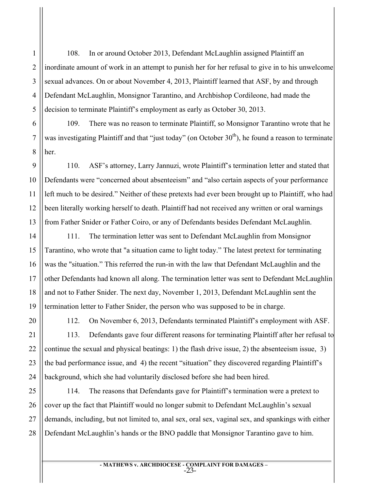108. In or around October 2013, Defendant McLaughlin assigned Plaintiff an inordinate amount of work in an attempt to punish her for her refusal to give in to his unwelcome sexual advances. On or about November 4, 2013, Plaintiff learned that ASF, by and through Defendant McLaughlin, Monsignor Tarantino, and Archbishop Cordileone, had made the decision to terminate Plaintiff's employment as early as October 30, 2013.

109. There was no reason to terminate Plaintiff, so Monsignor Tarantino wrote that he was investigating Plaintiff and that "just today" (on October  $30<sup>th</sup>$ ), he found a reason to terminate her.

110. ASF's attorney, Larry Jannuzi, wrote Plaintiff's termination letter and stated that Defendants were "concerned about absenteeism" and "also certain aspects of your performance left much to be desired." Neither of these pretexts had ever been brought up to Plaintiff, who had been literally working herself to death. Plaintiff had not received any written or oral warnings from Father Snider or Father Coiro, or any of Defendants besides Defendant McLaughlin.

111. The termination letter was sent to Defendant McLaughlin from Monsignor Tarantino, who wrote that "a situation came to light today." The latest pretext for terminating was the "situation." This referred the run-in with the law that Defendant McLaughlin and the other Defendants had known all along. The termination letter was sent to Defendant McLaughlin and not to Father Snider. The next day, November 1, 2013, Defendant McLaughlin sent the termination letter to Father Snider, the person who was supposed to be in charge.

112. On November 6, 2013, Defendants terminated Plaintiff's employment with ASF. 113. Defendants gave four different reasons for terminating Plaintiff after her refusal to continue the sexual and physical beatings: 1) the flash drive issue, 2) the absenteeism issue, 3) the bad performance issue, and 4) the recent "situation" they discovered regarding Plaintiff's background, which she had voluntarily disclosed before she had been hired.

114. The reasons that Defendants gave for Plaintiff's termination were a pretext to cover up the fact that Plaintiff would no longer submit to Defendant McLaughlin's sexual demands, including, but not limited to, anal sex, oral sex, vaginal sex, and spankings with either Defendant McLaughlin's hands or the BNO paddle that Monsignor Tarantino gave to him.

1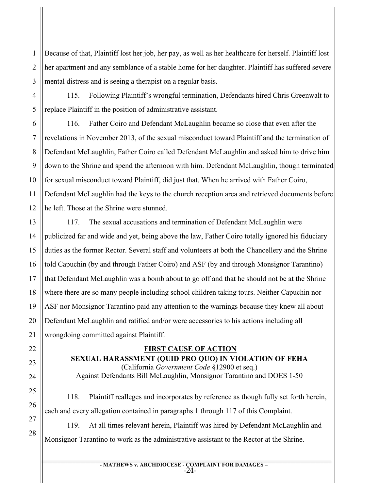Because of that, Plaintiff lost her job, her pay, as well as her healthcare for herself. Plaintiff lost her apartment and any semblance of a stable home for her daughter. Plaintiff has suffered severe mental distress and is seeing a therapist on a regular basis.

115. Following Plaintiff's wrongful termination, Defendants hired Chris Greenwalt to replace Plaintiff in the position of administrative assistant.

116. Father Coiro and Defendant McLaughlin became so close that even after the revelations in November 2013, of the sexual misconduct toward Plaintiff and the termination of Defendant McLaughlin, Father Coiro called Defendant McLaughlin and asked him to drive him down to the Shrine and spend the afternoon with him. Defendant McLaughlin, though terminated for sexual misconduct toward Plaintiff, did just that. When he arrived with Father Coiro, Defendant McLaughlin had the keys to the church reception area and retrieved documents before he left. Those at the Shrine were stunned.

117. The sexual accusations and termination of Defendant McLaughlin were publicized far and wide and yet, being above the law, Father Coiro totally ignored his fiduciary duties as the former Rector. Several staff and volunteers at both the Chancellery and the Shrine told Capuchin (by and through Father Coiro) and ASF (by and through Monsignor Tarantino) that Defendant McLaughlin was a bomb about to go off and that he should not be at the Shrine where there are so many people including school children taking tours. Neither Capuchin nor ASF nor Monsignor Tarantino paid any attention to the warnings because they knew all about Defendant McLaughlin and ratified and/or were accessories to his actions including all wrongdoing committed against Plaintiff.

# **FIRST CAUSE OF ACTION**

### **SEXUAL HARASSMENT (QUID PRO QUO) IN VIOLATION OF FEHA** (California *Government Code* §12900 et seq.) Against Defendants Bill McLaughlin, Monsignor Tarantino and DOES 1-50

118. Plaintiff realleges and incorporates by reference as though fully set forth herein, each and every allegation contained in paragraphs 1 through 117 of this Complaint.

119. At all times relevant herein, Plaintiff was hired by Defendant McLaughlin and Monsignor Tarantino to work as the administrative assistant to the Rector at the Shrine.

> **- MATHEWS v. ARCHDIOCESE - COMPLAINT FOR DAMAGES –** -24-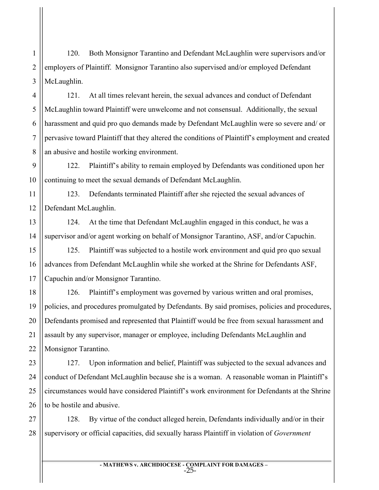2 3 120. Both Monsignor Tarantino and Defendant McLaughlin were supervisors and/or employers of Plaintiff. Monsignor Tarantino also supervised and/or employed Defendant McLaughlin.

1

15

16

17

18

21

22

4 5 6 7 8 121. At all times relevant herein, the sexual advances and conduct of Defendant McLaughlin toward Plaintiff were unwelcome and not consensual. Additionally, the sexual harassment and quid pro quo demands made by Defendant McLaughlin were so severe and/ or pervasive toward Plaintiff that they altered the conditions of Plaintiff's employment and created an abusive and hostile working environment.

9 10 122. Plaintiff's ability to remain employed by Defendants was conditioned upon her continuing to meet the sexual demands of Defendant McLaughlin.

11 12 123. Defendants terminated Plaintiff after she rejected the sexual advances of Defendant McLaughlin.

13 14 124. At the time that Defendant McLaughlin engaged in this conduct, he was a supervisor and/or agent working on behalf of Monsignor Tarantino, ASF, and/or Capuchin.

125. Plaintiff was subjected to a hostile work environment and quid pro quo sexual advances from Defendant McLaughlin while she worked at the Shrine for Defendants ASF, Capuchin and/or Monsignor Tarantino.

19 20 126. Plaintiff's employment was governed by various written and oral promises, policies, and procedures promulgated by Defendants. By said promises, policies and procedures, Defendants promised and represented that Plaintiff would be free from sexual harassment and assault by any supervisor, manager or employee, including Defendants McLaughlin and Monsignor Tarantino.

23 24 25 26 127. Upon information and belief, Plaintiff was subjected to the sexual advances and conduct of Defendant McLaughlin because she is a woman. A reasonable woman in Plaintiff's circumstances would have considered Plaintiff's work environment for Defendants at the Shrine to be hostile and abusive.

27 28 128. By virtue of the conduct alleged herein, Defendants individually and/or in their supervisory or official capacities, did sexually harass Plaintiff in violation of *Government* 

> **- MATHEWS v. ARCHDIOCESE - COMPLAINT FOR DAMAGES –** -25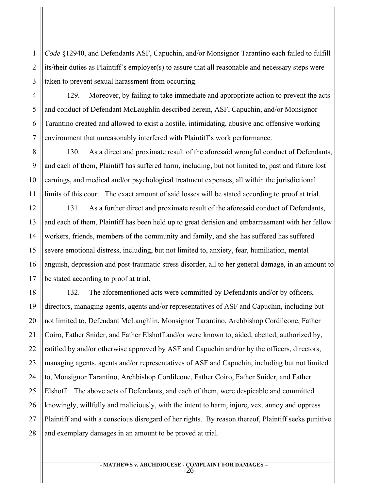*Code* §12940, and Defendants ASF, Capuchin, and/or Monsignor Tarantino each failed to fulfill its/their duties as Plaintiff's employer(s) to assure that all reasonable and necessary steps were taken to prevent sexual harassment from occurring.

129. Moreover, by failing to take immediate and appropriate action to prevent the acts and conduct of Defendant McLaughlin described herein, ASF, Capuchin, and/or Monsignor Tarantino created and allowed to exist a hostile, intimidating, abusive and offensive working environment that unreasonably interfered with Plaintiff's work performance.

130. As a direct and proximate result of the aforesaid wrongful conduct of Defendants, and each of them, Plaintiff has suffered harm, including, but not limited to, past and future lost earnings, and medical and/or psychological treatment expenses, all within the jurisdictional limits of this court. The exact amount of said losses will be stated according to proof at trial.

131. As a further direct and proximate result of the aforesaid conduct of Defendants, and each of them, Plaintiff has been held up to great derision and embarrassment with her fellow workers, friends, members of the community and family, and she has suffered has suffered severe emotional distress, including, but not limited to, anxiety, fear, humiliation, mental anguish, depression and post-traumatic stress disorder, all to her general damage, in an amount to be stated according to proof at trial.

132. The aforementioned acts were committed by Defendants and/or by officers, directors, managing agents, agents and/or representatives of ASF and Capuchin, including but not limited to, Defendant McLaughlin, Monsignor Tarantino, Archbishop Cordileone, Father Coiro, Father Snider, and Father Elshoff and/or were known to, aided, abetted, authorized by, ratified by and/or otherwise approved by ASF and Capuchin and/or by the officers, directors, managing agents, agents and/or representatives of ASF and Capuchin, including but not limited to, Monsignor Tarantino, Archbishop Cordileone, Father Coiro, Father Snider, and Father Elshoff . The above acts of Defendants, and each of them, were despicable and committed knowingly, willfully and maliciously, with the intent to harm, injure, vex, annoy and oppress Plaintiff and with a conscious disregard of her rights. By reason thereof, Plaintiff seeks punitive and exemplary damages in an amount to be proved at trial.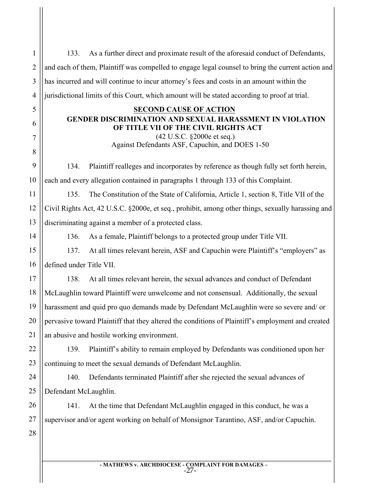| $\mathbf{1}$   | As a further direct and proximate result of the aforesaid conduct of Defendants,<br>133.          |  |
|----------------|---------------------------------------------------------------------------------------------------|--|
| $\overline{2}$ | and each of them, Plaintiff was compelled to engage legal counsel to bring the current action and |  |
| 3              | has incurred and will continue to incur attorney's fees and costs in an amount within the         |  |
| 4              | jurisdictional limits of this Court, which amount will be stated according to proof at trial.     |  |
| 5              | <b>SECOND CAUSE OF ACTION</b>                                                                     |  |
| 6              | GENDER DISCRIMINATION AND SEXUAL HARASSMENT IN VIOLATION<br>OF TITLE VII OF THE CIVIL RIGHTS ACT  |  |
| 7              | (42 U.S.C. §2000e et seq.)                                                                        |  |
| 8              | Against Defendants ASF, Capuchin, and DOES 1-50                                                   |  |
| 9              | Plaintiff realleges and incorporates by reference as though fully set forth herein,<br>134.       |  |
| 10             | each and every allegation contained in paragraphs 1 through 133 of this Complaint.                |  |
| 11             | The Constitution of the State of California, Article 1, section 8, Title VII of the<br>135.       |  |
| 12             | Civil Rights Act, 42 U.S.C. §2000e, et seq., prohibit, among other things, sexually harassing and |  |
| 13             | discriminating against a member of a protected class.                                             |  |
| 14             | As a female, Plaintiff belongs to a protected group under Title VII.<br>136.                      |  |
| 15             | At all times relevant herein, ASF and Capuchin were Plaintiff's "employers" as<br>137.            |  |
| 16             | defined under Title VII.                                                                          |  |
| 17             | At all times relevant herein, the sexual advances and conduct of Defendant<br>138.                |  |
| 18             | McLaughlin toward Plaintiff were unwelcome and not consensual. Additionally, the sexual           |  |
| 19             | harassment and quid pro quo demands made by Defendant McLaughlin were so severe and/ or           |  |
| 20             | pervasive toward Plaintiff that they altered the conditions of Plaintiff's employment and created |  |
| 21             | an abusive and hostile working environment.                                                       |  |
| 22             | Plaintiff's ability to remain employed by Defendants was conditioned upon her<br>139.             |  |
| 23             | continuing to meet the sexual demands of Defendant McLaughlin.                                    |  |
| 24             | Defendants terminated Plaintiff after she rejected the sexual advances of<br>140.                 |  |
| 25             | Defendant McLaughlin.                                                                             |  |
| 26             | At the time that Defendant McLaughlin engaged in this conduct, he was a<br>141.                   |  |
| 27             | supervisor and/or agent working on behalf of Monsignor Tarantino, ASF, and/or Capuchin.           |  |
| 28             |                                                                                                   |  |
|                |                                                                                                   |  |
|                |                                                                                                   |  |

**- MATHEWS v. ARCHDIOCESE - COMPLAINT FOR DAMAGES –** -27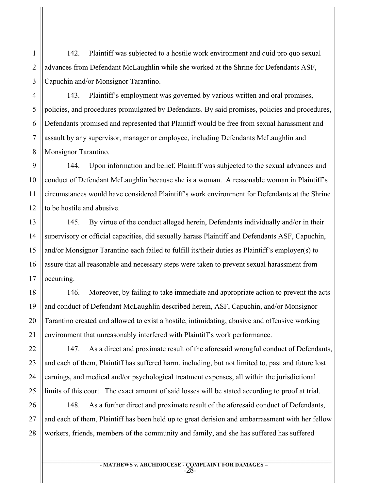2 3 142. Plaintiff was subjected to a hostile work environment and quid pro quo sexual advances from Defendant McLaughlin while she worked at the Shrine for Defendants ASF, Capuchin and/or Monsignor Tarantino.

4 143. Plaintiff's employment was governed by various written and oral promises, policies, and procedures promulgated by Defendants. By said promises, policies and procedures, Defendants promised and represented that Plaintiff would be free from sexual harassment and assault by any supervisor, manager or employee, including Defendants McLaughlin and Monsignor Tarantino.

144. Upon information and belief, Plaintiff was subjected to the sexual advances and conduct of Defendant McLaughlin because she is a woman. A reasonable woman in Plaintiff's circumstances would have considered Plaintiff's work environment for Defendants at the Shrine to be hostile and abusive.

145. By virtue of the conduct alleged herein, Defendants individually and/or in their supervisory or official capacities, did sexually harass Plaintiff and Defendants ASF, Capuchin, and/or Monsignor Tarantino each failed to fulfill its/their duties as Plaintiff's employer(s) to assure that all reasonable and necessary steps were taken to prevent sexual harassment from occurring.

146. Moreover, by failing to take immediate and appropriate action to prevent the acts and conduct of Defendant McLaughlin described herein, ASF, Capuchin, and/or Monsignor Tarantino created and allowed to exist a hostile, intimidating, abusive and offensive working environment that unreasonably interfered with Plaintiff's work performance.

147. As a direct and proximate result of the aforesaid wrongful conduct of Defendants, and each of them, Plaintiff has suffered harm, including, but not limited to, past and future lost earnings, and medical and/or psychological treatment expenses, all within the jurisdictional limits of this court. The exact amount of said losses will be stated according to proof at trial.

148. As a further direct and proximate result of the aforesaid conduct of Defendants, and each of them, Plaintiff has been held up to great derision and embarrassment with her fellow workers, friends, members of the community and family, and she has suffered has suffered

> **- MATHEWS v. ARCHDIOCESE - COMPLAINT FOR DAMAGES –** -28-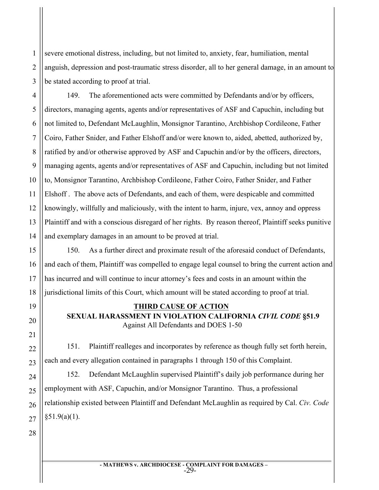2 3 severe emotional distress, including, but not limited to, anxiety, fear, humiliation, mental anguish, depression and post-traumatic stress disorder, all to her general damage, in an amount to be stated according to proof at trial.

4 6 7 8 9 10 12 13 14 149. The aforementioned acts were committed by Defendants and/or by officers, directors, managing agents, agents and/or representatives of ASF and Capuchin, including but not limited to, Defendant McLaughlin, Monsignor Tarantino, Archbishop Cordileone, Father Coiro, Father Snider, and Father Elshoff and/or were known to, aided, abetted, authorized by, ratified by and/or otherwise approved by ASF and Capuchin and/or by the officers, directors, managing agents, agents and/or representatives of ASF and Capuchin, including but not limited to, Monsignor Tarantino, Archbishop Cordileone, Father Coiro, Father Snider, and Father Elshoff . The above acts of Defendants, and each of them, were despicable and committed knowingly, willfully and maliciously, with the intent to harm, injure, vex, annoy and oppress Plaintiff and with a conscious disregard of her rights. By reason thereof, Plaintiff seeks punitive and exemplary damages in an amount to be proved at trial.

150. As a further direct and proximate result of the aforesaid conduct of Defendants, and each of them, Plaintiff was compelled to engage legal counsel to bring the current action and has incurred and will continue to incur attorney's fees and costs in an amount within the jurisdictional limits of this Court, which amount will be stated according to proof at trial.

### **THIRD CAUSE OF ACTION SEXUAL HARASSMENT IN VIOLATION CALIFORNIA** *CIVIL CODE* **§51.9** Against All Defendants and DOES 1-50

151. Plaintiff realleges and incorporates by reference as though fully set forth herein, each and every allegation contained in paragraphs 1 through 150 of this Complaint.

152. Defendant McLaughlin supervised Plaintiff's daily job performance during her employment with ASF, Capuchin, and/or Monsignor Tarantino. Thus, a professional relationship existed between Plaintiff and Defendant McLaughlin as required by Cal. *Civ. Code*  $§51.9(a)(1)$ .

1

5

11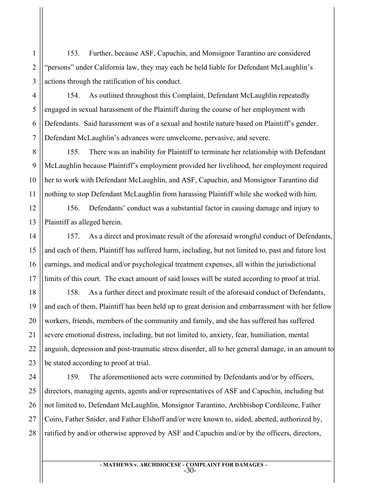153. Further, because ASF, Capuchin, and Monsignor Tarantino are considered "persons" under California law, they may each be held liable for Defendant McLaughlin's actions through the ratification of his conduct.

154. As outlined throughout this Complaint, Defendant McLaughlin repeatedly engaged in sexual harassment of the Plaintiff during the course of her employment with Defendants. Said harassment was of a sexual and hostile nature based on Plaintiff's gender. Defendant McLaughlin's advances were unwelcome, pervasive, and severe.

155. There was an inability for Plaintiff to terminate her relationship with Defendant McLaughlin because Plaintiff's employment provided her livelihood, her employment required her to work with Defendant McLaughlin, and ASF, Capuchin, and Monsignor Tarantino did nothing to stop Defendant McLaughlin from harassing Plaintiff while she worked with him.

156. Defendants' conduct was a substantial factor in causing damage and injury to Plaintiff as alleged herein.

157. As a direct and proximate result of the aforesaid wrongful conduct of Defendants, and each of them, Plaintiff has suffered harm, including, but not limited to, past and future lost earnings, and medical and/or psychological treatment expenses, all within the jurisdictional limits of this court. The exact amount of said losses will be stated according to proof at trial.

158. As a further direct and proximate result of the aforesaid conduct of Defendants, and each of them, Plaintiff has been held up to great derision and embarrassment with her fellow workers, friends, members of the community and family, and she has suffered has suffered severe emotional distress, including, but not limited to, anxiety, fear, humiliation, mental anguish, depression and post-traumatic stress disorder, all to her general damage, in an amount to be stated according to proof at trial.

159. The aforementioned acts were committed by Defendants and/or by officers, directors, managing agents, agents and/or representatives of ASF and Capuchin, including but not limited to, Defendant McLaughlin, Monsignor Tarantino, Archbishop Cordileone, Father Coiro, Father Snider, and Father Elshoff and/or were known to, aided, abetted, authorized by, ratified by and/or otherwise approved by ASF and Capuchin and/or by the officers, directors,

> **- MATHEWS v. ARCHDIOCESE - COMPLAINT FOR DAMAGES –** -30-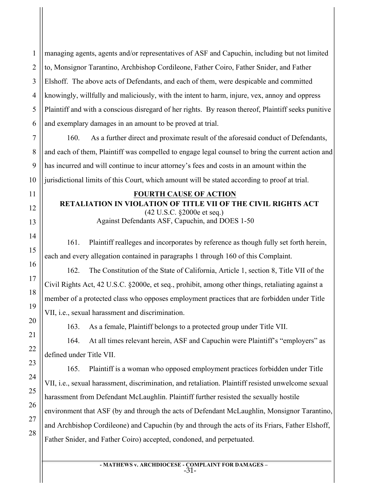managing agents, agents and/or representatives of ASF and Capuchin, including but not limited to, Monsignor Tarantino, Archbishop Cordileone, Father Coiro, Father Snider, and Father Elshoff. The above acts of Defendants, and each of them, were despicable and committed knowingly, willfully and maliciously, with the intent to harm, injure, vex, annoy and oppress Plaintiff and with a conscious disregard of her rights. By reason thereof, Plaintiff seeks punitive and exemplary damages in an amount to be proved at trial.

160. As a further direct and proximate result of the aforesaid conduct of Defendants, and each of them, Plaintiff was compelled to engage legal counsel to bring the current action and has incurred and will continue to incur attorney's fees and costs in an amount within the jurisdictional limits of this Court, which amount will be stated according to proof at trial.

### **FOURTH CAUSE OF ACTION**

**RETALIATION IN VIOLATION OF TITLE VII OF THE CIVIL RIGHTS ACT**

(42 U.S.C. §2000e et seq.) Against Defendants ASF, Capuchin, and DOES 1-50

161. Plaintiff realleges and incorporates by reference as though fully set forth herein, each and every allegation contained in paragraphs 1 through 160 of this Complaint.

162. The Constitution of the State of California, Article 1, section 8, Title VII of the Civil Rights Act, 42 U.S.C. §2000e, et seq., prohibit, among other things, retaliating against a member of a protected class who opposes employment practices that are forbidden under Title VII, i.e., sexual harassment and discrimination.

163. As a female, Plaintiff belongs to a protected group under Title VII.

164. At all times relevant herein, ASF and Capuchin were Plaintiff's "employers" as defined under Title VII.

165. Plaintiff is a woman who opposed employment practices forbidden under Title VII, i.e., sexual harassment, discrimination, and retaliation. Plaintiff resisted unwelcome sexual harassment from Defendant McLaughlin. Plaintiff further resisted the sexually hostile environment that ASF (by and through the acts of Defendant McLaughlin, Monsignor Tarantino, and Archbishop Cordileone) and Capuchin (by and through the acts of its Friars, Father Elshoff, Father Snider, and Father Coiro) accepted, condoned, and perpetuated.

> **- MATHEWS v. ARCHDIOCESE - COMPLAINT FOR DAMAGES –** -31-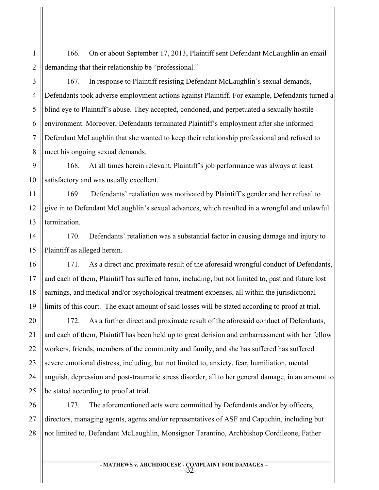166. On or about September 17, 2013, Plaintiff sent Defendant McLaughlin an email demanding that their relationship be "professional."

167. In response to Plaintiff resisting Defendant McLaughlin's sexual demands, Defendants took adverse employment actions against Plaintiff. For example, Defendants turned a blind eye to Plaintiff's abuse. They accepted, condoned, and perpetuated a sexually hostile environment. Moreover, Defendants terminated Plaintiff's employment after she informed Defendant McLaughlin that she wanted to keep their relationship professional and refused to meet his ongoing sexual demands.

168. At all times herein relevant, Plaintiff's job performance was always at least satisfactory and was usually excellent.

169. Defendants' retaliation was motivated by Plaintiff's gender and her refusal to give in to Defendant McLaughlin's sexual advances, which resulted in a wrongful and unlawful termination.

170. Defendants' retaliation was a substantial factor in causing damage and injury to Plaintiff as alleged herein.

171. As a direct and proximate result of the aforesaid wrongful conduct of Defendants, and each of them, Plaintiff has suffered harm, including, but not limited to, past and future lost earnings, and medical and/or psychological treatment expenses, all within the jurisdictional limits of this court. The exact amount of said losses will be stated according to proof at trial.

172. As a further direct and proximate result of the aforesaid conduct of Defendants, and each of them, Plaintiff has been held up to great derision and embarrassment with her fellow workers, friends, members of the community and family, and she has suffered has suffered severe emotional distress, including, but not limited to, anxiety, fear, humiliation, mental anguish, depression and post-traumatic stress disorder, all to her general damage, in an amount to be stated according to proof at trial.

173. The aforementioned acts were committed by Defendants and/or by officers, directors, managing agents, agents and/or representatives of ASF and Capuchin, including but not limited to, Defendant McLaughlin, Monsignor Tarantino, Archbishop Cordileone, Father

> **- MATHEWS v. ARCHDIOCESE - COMPLAINT FOR DAMAGES –** -32-

1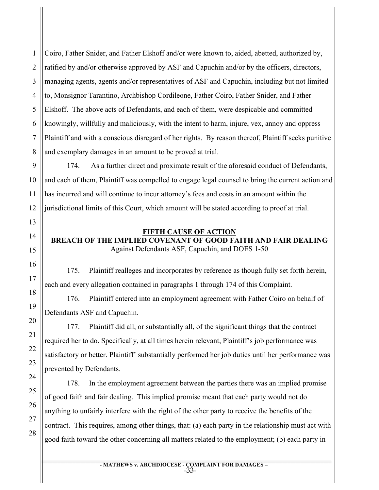2 3 4 Coiro, Father Snider, and Father Elshoff and/or were known to, aided, abetted, authorized by, ratified by and/or otherwise approved by ASF and Capuchin and/or by the officers, directors, managing agents, agents and/or representatives of ASF and Capuchin, including but not limited to, Monsignor Tarantino, Archbishop Cordileone, Father Coiro, Father Snider, and Father Elshoff. The above acts of Defendants, and each of them, were despicable and committed knowingly, willfully and maliciously, with the intent to harm, injure, vex, annoy and oppress Plaintiff and with a conscious disregard of her rights. By reason thereof, Plaintiff seeks punitive and exemplary damages in an amount to be proved at trial.

174. As a further direct and proximate result of the aforesaid conduct of Defendants, and each of them, Plaintiff was compelled to engage legal counsel to bring the current action and has incurred and will continue to incur attorney's fees and costs in an amount within the jurisdictional limits of this Court, which amount will be stated according to proof at trial.

### **FIFTH CAUSE OF ACTION**

### **BREACH OF THE IMPLIED COVENANT OF GOOD FAITH AND FAIR DEALING** Against Defendants ASF, Capuchin, and DOES 1-50

175. Plaintiff realleges and incorporates by reference as though fully set forth herein, each and every allegation contained in paragraphs 1 through 174 of this Complaint.

176. Plaintiff entered into an employment agreement with Father Coiro on behalf of Defendants ASF and Capuchin.

177. Plaintiff did all, or substantially all, of the significant things that the contract required her to do. Specifically, at all times herein relevant, Plaintiff's job performance was satisfactory or better. Plaintiff' substantially performed her job duties until her performance was prevented by Defendants.

178. In the employment agreement between the parties there was an implied promise of good faith and fair dealing. This implied promise meant that each party would not do anything to unfairly interfere with the right of the other party to receive the benefits of the contract. This requires, among other things, that: (a) each party in the relationship must act with good faith toward the other concerning all matters related to the employment; (b) each party in

> **- MATHEWS v. ARCHDIOCESE - COMPLAINT FOR DAMAGES –** -33-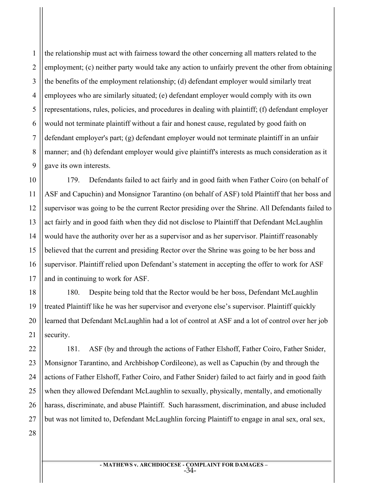1 2 3 4 5 6 7 8 9 the relationship must act with fairness toward the other concerning all matters related to the employment; (c) neither party would take any action to unfairly prevent the other from obtaining the benefits of the employment relationship; (d) defendant employer would similarly treat employees who are similarly situated; (e) defendant employer would comply with its own representations, rules, policies, and procedures in dealing with plaintiff; (f) defendant employer would not terminate plaintiff without a fair and honest cause, regulated by good faith on defendant employer's part; (g) defendant employer would not terminate plaintiff in an unfair manner; and (h) defendant employer would give plaintiff's interests as much consideration as it gave its own interests.

10 12 13 14 15 16 179. Defendants failed to act fairly and in good faith when Father Coiro (on behalf of ASF and Capuchin) and Monsignor Tarantino (on behalf of ASF) told Plaintiff that her boss and supervisor was going to be the current Rector presiding over the Shrine. All Defendants failed to act fairly and in good faith when they did not disclose to Plaintiff that Defendant McLaughlin would have the authority over her as a supervisor and as her supervisor. Plaintiff reasonably believed that the current and presiding Rector over the Shrine was going to be her boss and supervisor. Plaintiff relied upon Defendant's statement in accepting the offer to work for ASF and in continuing to work for ASF.

180. Despite being told that the Rector would be her boss, Defendant McLaughlin treated Plaintiff like he was her supervisor and everyone else's supervisor. Plaintiff quickly learned that Defendant McLaughlin had a lot of control at ASF and a lot of control over her job security.

181. ASF (by and through the actions of Father Elshoff, Father Coiro, Father Snider, Monsignor Tarantino, and Archbishop Cordileone), as well as Capuchin (by and through the actions of Father Elshoff, Father Coiro, and Father Snider) failed to act fairly and in good faith when they allowed Defendant McLaughlin to sexually, physically, mentally, and emotionally harass, discriminate, and abuse Plaintiff. Such harassment, discrimination, and abuse included but was not limited to, Defendant McLaughlin forcing Plaintiff to engage in anal sex, oral sex,

27 28

11

17

18

19

20

21

22

23

24

25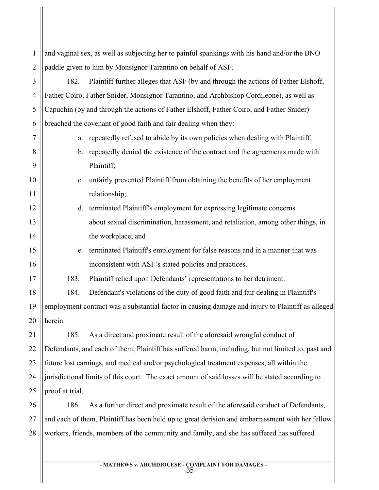1 2 3 4 5 6 7 8 9 10 11 12 13 14 15 16 17 18 19 20 21 22 23 24 25 26 27 28 and vaginal sex, as well as subjecting her to painful spankings with his hand and/or the BNO paddle given to him by Monsignor Tarantino on behalf of ASF. 182. Plaintiff further alleges that ASF (by and through the actions of Father Elshoff, Father Coiro, Father Snider, Monsignor Tarantino, and Archbishop Cordileone), as well as Capuchin (by and through the actions of Father Elshoff, Father Coiro, and Father Snider) breached the covenant of good faith and fair dealing when they: a. repeatedly refused to abide by its own policies when dealing with Plaintiff; b. repeatedly denied the existence of the contract and the agreements made with Plaintiff; c. unfairly prevented Plaintiff from obtaining the benefits of her employment relationship; d. terminated Plaintiff's employment for expressing legitimate concerns about sexual discrimination, harassment, and retaliation, among other things, in the workplace; and e. terminated Plaintiff's employment for false reasons and in a manner that was inconsistent with ASF's stated policies and practices. 183. Plaintiff relied upon Defendants' representations to her detriment. 184. Defendant's violations of the duty of good faith and fair dealing in Plaintiff's employment contract was a substantial factor in causing damage and injury to Plaintiff as alleged herein. 185. As a direct and proximate result of the aforesaid wrongful conduct of Defendants, and each of them, Plaintiff has suffered harm, including, but not limited to, past and future lost earnings, and medical and/or psychological treatment expenses, all within the jurisdictional limits of this court. The exact amount of said losses will be stated according to proof at trial. 186. As a further direct and proximate result of the aforesaid conduct of Defendants, and each of them, Plaintiff has been held up to great derision and embarrassment with her fellow workers, friends, members of the community and family, and she has suffered has suffered

> **- MATHEWS v. ARCHDIOCESE - COMPLAINT FOR DAMAGES –** -35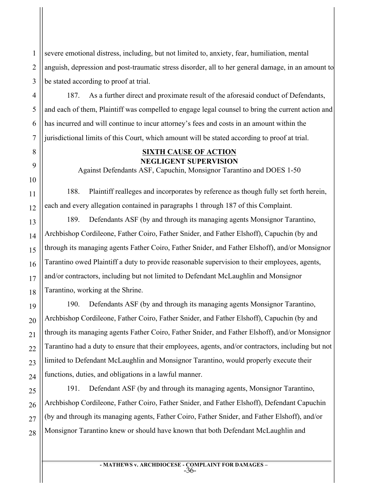severe emotional distress, including, but not limited to, anxiety, fear, humiliation, mental anguish, depression and post-traumatic stress disorder, all to her general damage, in an amount to be stated according to proof at trial.

187. As a further direct and proximate result of the aforesaid conduct of Defendants, and each of them, Plaintiff was compelled to engage legal counsel to bring the current action and has incurred and will continue to incur attorney's fees and costs in an amount within the jurisdictional limits of this Court, which amount will be stated according to proof at trial.

# **SIXTH CAUSE OF ACTION NEGLIGENT SUPERVISION**

Against Defendants ASF, Capuchin, Monsignor Tarantino and DOES 1-50

188. Plaintiff realleges and incorporates by reference as though fully set forth herein, each and every allegation contained in paragraphs 1 through 187 of this Complaint.

189. Defendants ASF (by and through its managing agents Monsignor Tarantino, Archbishop Cordileone, Father Coiro, Father Snider, and Father Elshoff), Capuchin (by and through its managing agents Father Coiro, Father Snider, and Father Elshoff), and/or Monsignor Tarantino owed Plaintiff a duty to provide reasonable supervision to their employees, agents, and/or contractors, including but not limited to Defendant McLaughlin and Monsignor Tarantino, working at the Shrine.

190. Defendants ASF (by and through its managing agents Monsignor Tarantino, Archbishop Cordileone, Father Coiro, Father Snider, and Father Elshoff), Capuchin (by and through its managing agents Father Coiro, Father Snider, and Father Elshoff), and/or Monsignor Tarantino had a duty to ensure that their employees, agents, and/or contractors, including but not limited to Defendant McLaughlin and Monsignor Tarantino, would properly execute their functions, duties, and obligations in a lawful manner.

191. Defendant ASF (by and through its managing agents, Monsignor Tarantino, Archbishop Cordileone, Father Coiro, Father Snider, and Father Elshoff), Defendant Capuchin (by and through its managing agents, Father Coiro, Father Snider, and Father Elshoff), and/or Monsignor Tarantino knew or should have known that both Defendant McLaughlin and

> **- MATHEWS v. ARCHDIOCESE - COMPLAINT FOR DAMAGES –** -36-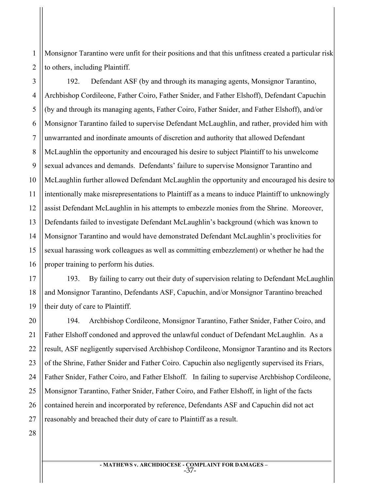2 Monsignor Tarantino were unfit for their positions and that this unfitness created a particular risk to others, including Plaintiff.

3 4 5 192. Defendant ASF (by and through its managing agents, Monsignor Tarantino, Archbishop Cordileone, Father Coiro, Father Snider, and Father Elshoff), Defendant Capuchin (by and through its managing agents, Father Coiro, Father Snider, and Father Elshoff), and/or Monsignor Tarantino failed to supervise Defendant McLaughlin, and rather, provided him with unwarranted and inordinate amounts of discretion and authority that allowed Defendant McLaughlin the opportunity and encouraged his desire to subject Plaintiff to his unwelcome sexual advances and demands. Defendants' failure to supervise Monsignor Tarantino and McLaughlin further allowed Defendant McLaughlin the opportunity and encouraged his desire to intentionally make misrepresentations to Plaintiff as a means to induce Plaintiff to unknowingly assist Defendant McLaughlin in his attempts to embezzle monies from the Shrine. Moreover, Defendants failed to investigate Defendant McLaughlin's background (which was known to Monsignor Tarantino and would have demonstrated Defendant McLaughlin's proclivities for sexual harassing work colleagues as well as committing embezzlement) or whether he had the proper training to perform his duties.

193. By failing to carry out their duty of supervision relating to Defendant McLaughlin and Monsignor Tarantino, Defendants ASF, Capuchin, and/or Monsignor Tarantino breached their duty of care to Plaintiff.

194. Archbishop Cordileone, Monsignor Tarantino, Father Snider, Father Coiro, and Father Elshoff condoned and approved the unlawful conduct of Defendant McLaughlin. As a result, ASF negligently supervised Archbishop Cordileone, Monsignor Tarantino and its Rectors of the Shrine, Father Snider and Father Coiro. Capuchin also negligently supervised its Friars, Father Snider, Father Coiro, and Father Elshoff. In failing to supervise Archbishop Cordileone, Monsignor Tarantino, Father Snider, Father Coiro, and Father Elshoff, in light of the facts contained herein and incorporated by reference, Defendants ASF and Capuchin did not act reasonably and breached their duty of care to Plaintiff as a result.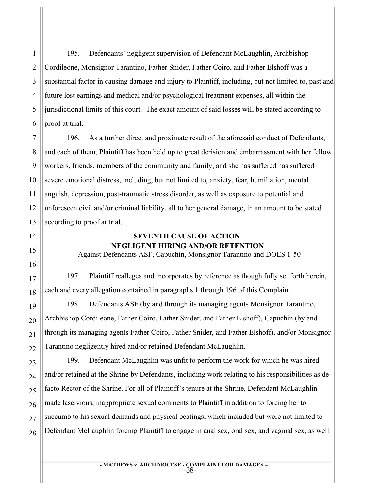1 195. Defendants' negligent supervision of Defendant McLaughlin, Archbishop Cordileone, Monsignor Tarantino, Father Snider, Father Coiro, and Father Elshoff was a substantial factor in causing damage and injury to Plaintiff, including, but not limited to, past and future lost earnings and medical and/or psychological treatment expenses, all within the jurisdictional limits of this court. The exact amount of said losses will be stated according to proof at trial.

196. As a further direct and proximate result of the aforesaid conduct of Defendants, and each of them, Plaintiff has been held up to great derision and embarrassment with her fellow workers, friends, members of the community and family, and she has suffered has suffered severe emotional distress, including, but not limited to, anxiety, fear, humiliation, mental anguish, depression, post-traumatic stress disorder, as well as exposure to potential and unforeseen civil and/or criminal liability, all to her general damage, in an amount to be stated according to proof at trial.

# **SEVENTH CAUSE OF ACTION NEGLIGENT HIRING AND/OR RETENTION**

Against Defendants ASF, Capuchin, Monsignor Tarantino and DOES 1-50

197. Plaintiff realleges and incorporates by reference as though fully set forth herein, each and every allegation contained in paragraphs 1 through 196 of this Complaint.

198. Defendants ASF (by and through its managing agents Monsignor Tarantino, Archbishop Cordileone, Father Coiro, Father Snider, and Father Elshoff), Capuchin (by and through its managing agents Father Coiro, Father Snider, and Father Elshoff), and/or Monsignor Tarantino negligently hired and/or retained Defendant McLaughlin.

199. Defendant McLaughlin was unfit to perform the work for which he was hired and/or retained at the Shrine by Defendants, including work relating to his responsibilities as de facto Rector of the Shrine. For all of Plaintiff's tenure at the Shrine, Defendant McLaughlin made lascivious, inappropriate sexual comments to Plaintiff in addition to forcing her to succumb to his sexual demands and physical beatings, which included but were not limited to Defendant McLaughlin forcing Plaintiff to engage in anal sex, oral sex, and vaginal sex, as well

> **- MATHEWS v. ARCHDIOCESE - COMPLAINT FOR DAMAGES –** -38-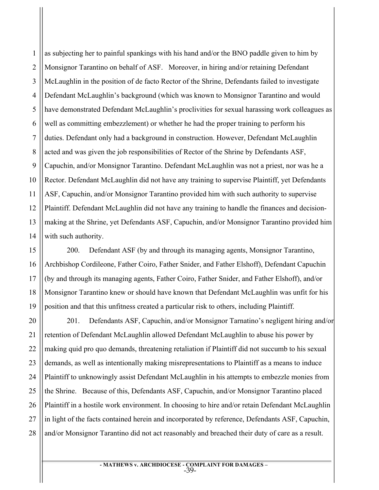1 2 3 4 5 6 7 8 9 10 11 12 13 14 as subjecting her to painful spankings with his hand and/or the BNO paddle given to him by Monsignor Tarantino on behalf of ASF. Moreover, in hiring and/or retaining Defendant McLaughlin in the position of de facto Rector of the Shrine, Defendants failed to investigate Defendant McLaughlin's background (which was known to Monsignor Tarantino and would have demonstrated Defendant McLaughlin's proclivities for sexual harassing work colleagues as well as committing embezzlement) or whether he had the proper training to perform his duties. Defendant only had a background in construction. However, Defendant McLaughlin acted and was given the job responsibilities of Rector of the Shrine by Defendants ASF, Capuchin, and/or Monsignor Tarantino. Defendant McLaughlin was not a priest, nor was he a Rector. Defendant McLaughlin did not have any training to supervise Plaintiff, yet Defendants ASF, Capuchin, and/or Monsignor Tarantino provided him with such authority to supervise Plaintiff. Defendant McLaughlin did not have any training to handle the finances and decisionmaking at the Shrine, yet Defendants ASF, Capuchin, and/or Monsignor Tarantino provided him with such authority.

200. Defendant ASF (by and through its managing agents, Monsignor Tarantino, Archbishop Cordileone, Father Coiro, Father Snider, and Father Elshoff), Defendant Capuchin (by and through its managing agents, Father Coiro, Father Snider, and Father Elshoff), and/or Monsignor Tarantino knew or should have known that Defendant McLaughlin was unfit for his position and that this unfitness created a particular risk to others, including Plaintiff.

15

16

17

18

19

21

22

23

24

25

26

27

28

20 201. Defendants ASF, Capuchin, and/or Monsignor Tarnatino's negligent hiring and/or retention of Defendant McLaughlin allowed Defendant McLaughlin to abuse his power by making quid pro quo demands, threatening retaliation if Plaintiff did not succumb to his sexual demands, as well as intentionally making misrepresentations to Plaintiff as a means to induce Plaintiff to unknowingly assist Defendant McLaughlin in his attempts to embezzle monies from the Shrine. Because of this, Defendants ASF, Capuchin, and/or Monsignor Tarantino placed Plaintiff in a hostile work environment. In choosing to hire and/or retain Defendant McLaughlin in light of the facts contained herein and incorporated by reference, Defendants ASF, Capuchin, and/or Monsignor Tarantino did not act reasonably and breached their duty of care as a result.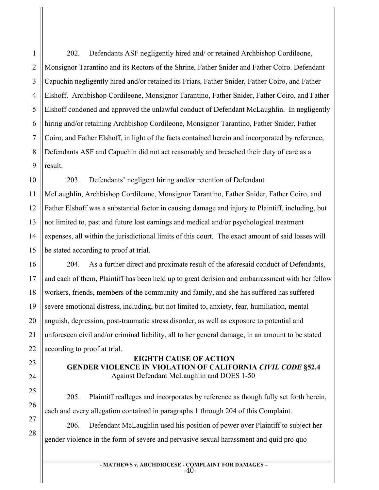1

2

3

4

5

6

202. Defendants ASF negligently hired and/ or retained Archbishop Cordileone, Monsignor Tarantino and its Rectors of the Shrine, Father Snider and Father Coiro. Defendant Capuchin negligently hired and/or retained its Friars, Father Snider, Father Coiro, and Father Elshoff. Archbishop Cordileone, Monsignor Tarantino, Father Snider, Father Coiro, and Father Elshoff condoned and approved the unlawful conduct of Defendant McLaughlin. In negligently hiring and/or retaining Archbishop Cordileone, Monsignor Tarantino, Father Snider, Father Coiro, and Father Elshoff, in light of the facts contained herein and incorporated by reference, Defendants ASF and Capuchin did not act reasonably and breached their duty of care as a result.

203. Defendants' negligent hiring and/or retention of Defendant McLaughlin, Archbishop Cordileone, Monsignor Tarantino, Father Snider, Father Coiro, and Father Elshoff was a substantial factor in causing damage and injury to Plaintiff, including, but not limited to, past and future lost earnings and medical and/or psychological treatment expenses, all within the jurisdictional limits of this court. The exact amount of said losses will be stated according to proof at trial.

204. As a further direct and proximate result of the aforesaid conduct of Defendants, and each of them, Plaintiff has been held up to great derision and embarrassment with her fellow workers, friends, members of the community and family, and she has suffered has suffered severe emotional distress, including, but not limited to, anxiety, fear, humiliation, mental anguish, depression, post-traumatic stress disorder, as well as exposure to potential and unforeseen civil and/or criminal liability, all to her general damage, in an amount to be stated according to proof at trial.

# **EIGHTH CAUSE OF ACTION**

**GENDER VIOLENCE IN VIOLATION OF CALIFORNIA** *CIVIL CODE* **§52.4** Against Defendant McLaughlin and DOES 1-50

205. Plaintiff realleges and incorporates by reference as though fully set forth herein, each and every allegation contained in paragraphs 1 through 204 of this Complaint.

206. Defendant McLaughlin used his position of power over Plaintiff to subject her gender violence in the form of severe and pervasive sexual harassment and quid pro quo

> **- MATHEWS v. ARCHDIOCESE - COMPLAINT FOR DAMAGES –** -40-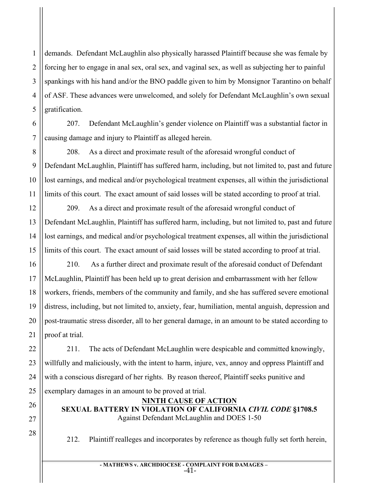demands. Defendant McLaughlin also physically harassed Plaintiff because she was female by forcing her to engage in anal sex, oral sex, and vaginal sex, as well as subjecting her to painful spankings with his hand and/or the BNO paddle given to him by Monsignor Tarantino on behalf of ASF. These advances were unwelcomed, and solely for Defendant McLaughlin's own sexual gratification.

207. Defendant McLaughlin's gender violence on Plaintiff was a substantial factor in causing damage and injury to Plaintiff as alleged herein.

208. As a direct and proximate result of the aforesaid wrongful conduct of Defendant McLaughlin, Plaintiff has suffered harm, including, but not limited to, past and future lost earnings, and medical and/or psychological treatment expenses, all within the jurisdictional limits of this court. The exact amount of said losses will be stated according to proof at trial.

209. As a direct and proximate result of the aforesaid wrongful conduct of Defendant McLaughlin, Plaintiff has suffered harm, including, but not limited to, past and future lost earnings, and medical and/or psychological treatment expenses, all within the jurisdictional limits of this court. The exact amount of said losses will be stated according to proof at trial.

210. As a further direct and proximate result of the aforesaid conduct of Defendant McLaughlin, Plaintiff has been held up to great derision and embarrassment with her fellow workers, friends, members of the community and family, and she has suffered severe emotional distress, including, but not limited to, anxiety, fear, humiliation, mental anguish, depression and post-traumatic stress disorder, all to her general damage, in an amount to be stated according to proof at trial.

211. The acts of Defendant McLaughlin were despicable and committed knowingly, willfully and maliciously, with the intent to harm, injure, vex, annoy and oppress Plaintiff and with a conscious disregard of her rights. By reason thereof, Plaintiff seeks punitive and exemplary damages in an amount to be proved at trial.

**NINTH CAUSE OF ACTION SEXUAL BATTERY IN VIOLATION OF CALIFORNIA** *CIVIL CODE* **§1708.5**  Against Defendant McLaughlin and DOES 1-50

212. Plaintiff realleges and incorporates by reference as though fully set forth herein,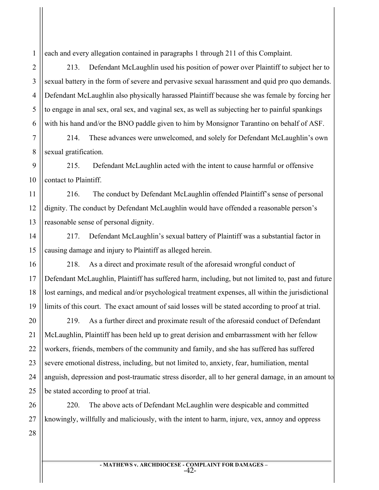each and every allegation contained in paragraphs 1 through 211 of this Complaint.

213. Defendant McLaughlin used his position of power over Plaintiff to subject her to sexual battery in the form of severe and pervasive sexual harassment and quid pro quo demands. Defendant McLaughlin also physically harassed Plaintiff because she was female by forcing her to engage in anal sex, oral sex, and vaginal sex, as well as subjecting her to painful spankings with his hand and/or the BNO paddle given to him by Monsignor Tarantino on behalf of ASF.

214. These advances were unwelcomed, and solely for Defendant McLaughlin's own sexual gratification.

9 215. Defendant McLaughlin acted with the intent to cause harmful or offensive contact to Plaintiff.

216. The conduct by Defendant McLaughlin offended Plaintiff's sense of personal dignity. The conduct by Defendant McLaughlin would have offended a reasonable person's reasonable sense of personal dignity.

217. Defendant McLaughlin's sexual battery of Plaintiff was a substantial factor in causing damage and injury to Plaintiff as alleged herein.

218. As a direct and proximate result of the aforesaid wrongful conduct of Defendant McLaughlin, Plaintiff has suffered harm, including, but not limited to, past and future lost earnings, and medical and/or psychological treatment expenses, all within the jurisdictional limits of this court. The exact amount of said losses will be stated according to proof at trial.

219. As a further direct and proximate result of the aforesaid conduct of Defendant McLaughlin, Plaintiff has been held up to great derision and embarrassment with her fellow workers, friends, members of the community and family, and she has suffered has suffered severe emotional distress, including, but not limited to, anxiety, fear, humiliation, mental anguish, depression and post-traumatic stress disorder, all to her general damage, in an amount to be stated according to proof at trial.

26 27 220. The above acts of Defendant McLaughlin were despicable and committed knowingly, willfully and maliciously, with the intent to harm, injure, vex, annoy and oppress

28

1

2

3

4

5

6

7

8

10

11

12

13

14

15

16

17

18

19

20

21

22

23

24

25

**- MATHEWS v. ARCHDIOCESE - COMPLAINT FOR DAMAGES –** -42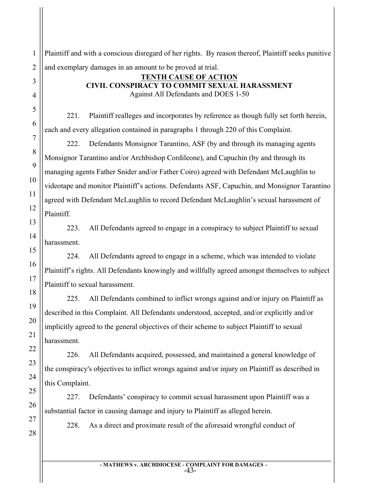2 Plaintiff and with a conscious disregard of her rights. By reason thereof, Plaintiff seeks punitive and exemplary damages in an amount to be proved at trial.

#### **TENTH CAUSE OF ACTION CIVIL CONSPIRACY TO COMMIT SEXUAL HARASSMENT** Against All Defendants and DOES 1-50

221. Plaintiff realleges and incorporates by reference as though fully set forth herein, each and every allegation contained in paragraphs 1 through 220 of this Complaint.

222. Defendants Monsignor Tarantino, ASF (by and through its managing agents Monsignor Tarantino and/or Archbishop Cordileone), and Capuchin (by and through its managing agents Father Snider and/or Father Coiro) agreed with Defendant McLaughlin to videotape and monitor Plaintiff's actions. Defendants ASF, Capuchin, and Monsignor Tarantino agreed with Defendant McLaughlin to record Defendant McLaughlin's sexual harassment of Plaintiff.

223. All Defendants agreed to engage in a conspiracy to subject Plaintiff to sexual harassment.

224. All Defendants agreed to engage in a scheme, which was intended to violate Plaintiff's rights. All Defendants knowingly and willfully agreed amongst themselves to subject Plaintiff to sexual harassment.

225. All Defendants combined to inflict wrongs against and/or injury on Plaintiff as described in this Complaint. All Defendants understood, accepted, and/or explicitly and/or implicitly agreed to the general objectives of their scheme to subject Plaintiff to sexual harassment.

226. All Defendants acquired, possessed, and maintained a general knowledge of the conspiracy's objectives to inflict wrongs against and/or injury on Plaintiff as described in this Complaint.

227. Defendants' conspiracy to commit sexual harassment upon Plaintiff was a substantial factor in causing damage and injury to Plaintiff as alleged herein.

27 28

1

3

4

5

6

7

8

9

10

11

12

13

14

15

16

17

18

19

20

21

22

23

24

25

26

228. As a direct and proximate result of the aforesaid wrongful conduct of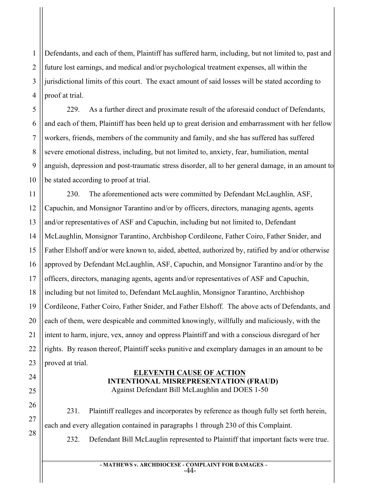1 2 3 4 Defendants, and each of them, Plaintiff has suffered harm, including, but not limited to, past and future lost earnings, and medical and/or psychological treatment expenses, all within the jurisdictional limits of this court. The exact amount of said losses will be stated according to proof at trial.

229. As a further direct and proximate result of the aforesaid conduct of Defendants, and each of them, Plaintiff has been held up to great derision and embarrassment with her fellow workers, friends, members of the community and family, and she has suffered has suffered severe emotional distress, including, but not limited to, anxiety, fear, humiliation, mental anguish, depression and post-traumatic stress disorder, all to her general damage, in an amount to be stated according to proof at trial.

230. The aforementioned acts were committed by Defendant McLaughlin, ASF, Capuchin, and Monsignor Tarantino and/or by officers, directors, managing agents, agents and/or representatives of ASF and Capuchin, including but not limited to, Defendant McLaughlin, Monsignor Tarantino, Archbishop Cordileone, Father Coiro, Father Snider, and Father Elshoff and/or were known to, aided, abetted, authorized by, ratified by and/or otherwise approved by Defendant McLaughlin, ASF, Capuchin, and Monsignor Tarantino and/or by the officers, directors, managing agents, agents and/or representatives of ASF and Capuchin, including but not limited to, Defendant McLaughlin, Monsignor Tarantino, Archbishop Cordileone, Father Coiro, Father Snider, and Father Elshoff. The above acts of Defendants, and each of them, were despicable and committed knowingly, willfully and maliciously, with the intent to harm, injure, vex, annoy and oppress Plaintiff and with a conscious disregard of her rights. By reason thereof, Plaintiff seeks punitive and exemplary damages in an amount to be proved at trial.

### **ELEVENTH CAUSE OF ACTION INTENTIONAL MISREPRESENTATION (FRAUD)** Against Defendant Bill McLaughlin and DOES 1-50

231. Plaintiff realleges and incorporates by reference as though fully set forth herein, each and every allegation contained in paragraphs 1 through 230 of this Complaint.

232. Defendant Bill McLauglin represented to Plaintiff that important facts were true.

**- MATHEWS v. ARCHDIOCESE - COMPLAINT FOR DAMAGES –** -44-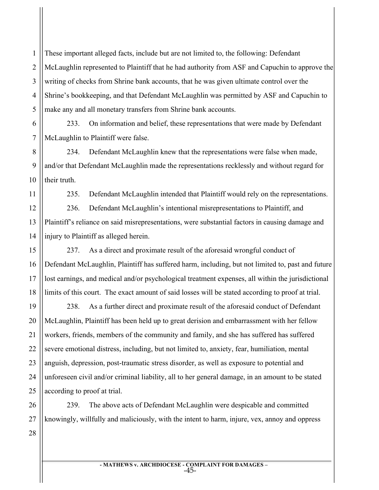1 2 3 4 5 These important alleged facts, include but are not limited to, the following: Defendant McLaughlin represented to Plaintiff that he had authority from ASF and Capuchin to approve the writing of checks from Shrine bank accounts, that he was given ultimate control over the Shrine's bookkeeping, and that Defendant McLaughlin was permitted by ASF and Capuchin to make any and all monetary transfers from Shrine bank accounts.

6 7 233. On information and belief, these representations that were made by Defendant McLaughlin to Plaintiff were false.

8 9 10 234. Defendant McLaughlin knew that the representations were false when made, and/or that Defendant McLaughlin made the representations recklessly and without regard for their truth.

235. Defendant McLaughlin intended that Plaintiff would rely on the representations. 236. Defendant McLaughlin's intentional misrepresentations to Plaintiff, and Plaintiff's reliance on said misrepresentations, were substantial factors in causing damage and injury to Plaintiff as alleged herein.

237. As a direct and proximate result of the aforesaid wrongful conduct of Defendant McLaughlin, Plaintiff has suffered harm, including, but not limited to, past and future lost earnings, and medical and/or psychological treatment expenses, all within the jurisdictional limits of this court. The exact amount of said losses will be stated according to proof at trial.

19 20 21 22 23 24 25 238. As a further direct and proximate result of the aforesaid conduct of Defendant McLaughlin, Plaintiff has been held up to great derision and embarrassment with her fellow workers, friends, members of the community and family, and she has suffered has suffered severe emotional distress, including, but not limited to, anxiety, fear, humiliation, mental anguish, depression, post-traumatic stress disorder, as well as exposure to potential and unforeseen civil and/or criminal liability, all to her general damage, in an amount to be stated according to proof at trial.

26 27 239. The above acts of Defendant McLaughlin were despicable and committed knowingly, willfully and maliciously, with the intent to harm, injure, vex, annoy and oppress

28

11

12

13

14

15

16

17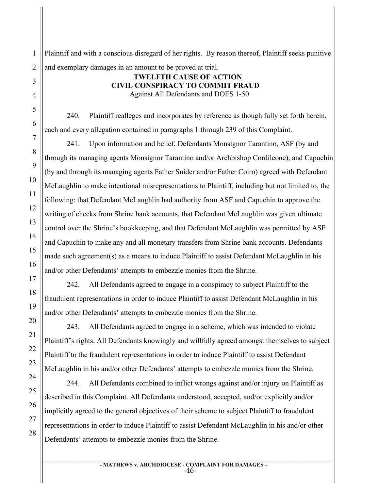Plaintiff and with a conscious disregard of her rights. By reason thereof, Plaintiff seeks punitive and exemplary damages in an amount to be proved at trial.

#### **TWELFTH CAUSE OF ACTION CIVIL CONSPIRACY TO COMMIT FRAUD** Against All Defendants and DOES 1-50

240. Plaintiff realleges and incorporates by reference as though fully set forth herein, each and every allegation contained in paragraphs 1 through 239 of this Complaint.

241. Upon information and belief, Defendants Monsignor Tarantino, ASF (by and through its managing agents Monsignor Tarantino and/or Archbishop Cordileone), and Capuchin (by and through its managing agents Father Snider and/or Father Coiro) agreed with Defendant McLaughlin to make intentional misrepresentations to Plaintiff, including but not limited to, the following: that Defendant McLaughlin had authority from ASF and Capuchin to approve the writing of checks from Shrine bank accounts, that Defendant McLaughlin was given ultimate control over the Shrine's bookkeeping, and that Defendant McLaughlin was permitted by ASF and Capuchin to make any and all monetary transfers from Shrine bank accounts. Defendants made such agreement(s) as a means to induce Plaintiff to assist Defendant McLaughlin in his and/or other Defendants' attempts to embezzle monies from the Shrine.

242. All Defendants agreed to engage in a conspiracy to subject Plaintiff to the fraudulent representations in order to induce Plaintiff to assist Defendant McLaughlin in his and/or other Defendants' attempts to embezzle monies from the Shrine.

243. All Defendants agreed to engage in a scheme, which was intended to violate Plaintiff's rights. All Defendants knowingly and willfully agreed amongst themselves to subject Plaintiff to the fraudulent representations in order to induce Plaintiff to assist Defendant McLaughlin in his and/or other Defendants' attempts to embezzle monies from the Shrine.

244. All Defendants combined to inflict wrongs against and/or injury on Plaintiff as described in this Complaint. All Defendants understood, accepted, and/or explicitly and/or implicitly agreed to the general objectives of their scheme to subject Plaintiff to fraudulent representations in order to induce Plaintiff to assist Defendant McLaughlin in his and/or other Defendants' attempts to embezzle monies from the Shrine.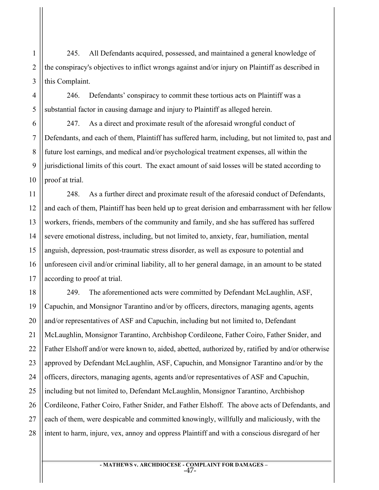245. All Defendants acquired, possessed, and maintained a general knowledge of the conspiracy's objectives to inflict wrongs against and/or injury on Plaintiff as described in this Complaint.

246. Defendants' conspiracy to commit these tortious acts on Plaintiff was a substantial factor in causing damage and injury to Plaintiff as alleged herein.

247. As a direct and proximate result of the aforesaid wrongful conduct of Defendants, and each of them, Plaintiff has suffered harm, including, but not limited to, past and future lost earnings, and medical and/or psychological treatment expenses, all within the jurisdictional limits of this court. The exact amount of said losses will be stated according to proof at trial.

248. As a further direct and proximate result of the aforesaid conduct of Defendants, and each of them, Plaintiff has been held up to great derision and embarrassment with her fellow workers, friends, members of the community and family, and she has suffered has suffered severe emotional distress, including, but not limited to, anxiety, fear, humiliation, mental anguish, depression, post-traumatic stress disorder, as well as exposure to potential and unforeseen civil and/or criminal liability, all to her general damage, in an amount to be stated according to proof at trial.

249. The aforementioned acts were committed by Defendant McLaughlin, ASF, Capuchin, and Monsignor Tarantino and/or by officers, directors, managing agents, agents and/or representatives of ASF and Capuchin, including but not limited to, Defendant McLaughlin, Monsignor Tarantino, Archbishop Cordileone, Father Coiro, Father Snider, and Father Elshoff and/or were known to, aided, abetted, authorized by, ratified by and/or otherwise approved by Defendant McLaughlin, ASF, Capuchin, and Monsignor Tarantino and/or by the officers, directors, managing agents, agents and/or representatives of ASF and Capuchin, including but not limited to, Defendant McLaughlin, Monsignor Tarantino, Archbishop Cordileone, Father Coiro, Father Snider, and Father Elshoff. The above acts of Defendants, and each of them, were despicable and committed knowingly, willfully and maliciously, with the intent to harm, injure, vex, annoy and oppress Plaintiff and with a conscious disregard of her

1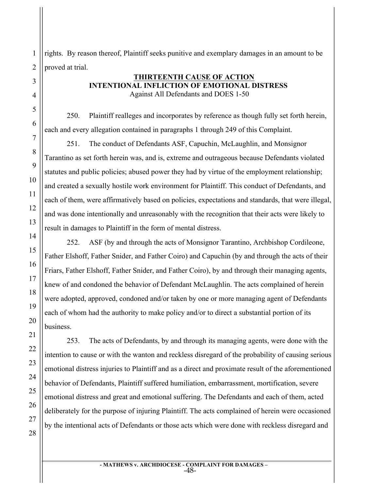rights. By reason thereof, Plaintiff seeks punitive and exemplary damages in an amount to be proved at trial.

#### **THIRTEENTH CAUSE OF ACTION INTENTIONAL INFLICTION OF EMOTIONAL DISTRESS** Against All Defendants and DOES 1-50

250. Plaintiff realleges and incorporates by reference as though fully set forth herein, each and every allegation contained in paragraphs 1 through 249 of this Complaint.

251. The conduct of Defendants ASF, Capuchin, McLaughlin, and Monsignor Tarantino as set forth herein was, and is, extreme and outrageous because Defendants violated statutes and public policies; abused power they had by virtue of the employment relationship; and created a sexually hostile work environment for Plaintiff. This conduct of Defendants, and each of them, were affirmatively based on policies, expectations and standards, that were illegal, and was done intentionally and unreasonably with the recognition that their acts were likely to result in damages to Plaintiff in the form of mental distress.

252. ASF (by and through the acts of Monsignor Tarantino, Archbishop Cordileone, Father Elshoff, Father Snider, and Father Coiro) and Capuchin (by and through the acts of their Friars, Father Elshoff, Father Snider, and Father Coiro), by and through their managing agents, knew of and condoned the behavior of Defendant McLaughlin. The acts complained of herein were adopted, approved, condoned and/or taken by one or more managing agent of Defendants each of whom had the authority to make policy and/or to direct a substantial portion of its business.

253. The acts of Defendants, by and through its managing agents, were done with the intention to cause or with the wanton and reckless disregard of the probability of causing serious emotional distress injuries to Plaintiff and as a direct and proximate result of the aforementioned behavior of Defendants, Plaintiff suffered humiliation, embarrassment, mortification, severe emotional distress and great and emotional suffering. The Defendants and each of them, acted deliberately for the purpose of injuring Plaintiff. The acts complained of herein were occasioned by the intentional acts of Defendants or those acts which were done with reckless disregard and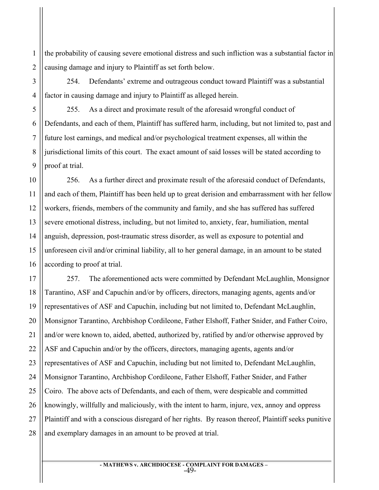1 2 the probability of causing severe emotional distress and such infliction was a substantial factor in causing damage and injury to Plaintiff as set forth below.

254. Defendants' extreme and outrageous conduct toward Plaintiff was a substantial factor in causing damage and injury to Plaintiff as alleged herein.

3

4

5

6

7

8

9

11

21

255. As a direct and proximate result of the aforesaid wrongful conduct of Defendants, and each of them, Plaintiff has suffered harm, including, but not limited to, past and future lost earnings, and medical and/or psychological treatment expenses, all within the jurisdictional limits of this court. The exact amount of said losses will be stated according to proof at trial.

10 12 13 14 15 16 256. As a further direct and proximate result of the aforesaid conduct of Defendants, and each of them, Plaintiff has been held up to great derision and embarrassment with her fellow workers, friends, members of the community and family, and she has suffered has suffered severe emotional distress, including, but not limited to, anxiety, fear, humiliation, mental anguish, depression, post-traumatic stress disorder, as well as exposure to potential and unforeseen civil and/or criminal liability, all to her general damage, in an amount to be stated according to proof at trial.

17 18 19 20 22 23 24 25 26 27 28 257. The aforementioned acts were committed by Defendant McLaughlin, Monsignor Tarantino, ASF and Capuchin and/or by officers, directors, managing agents, agents and/or representatives of ASF and Capuchin, including but not limited to, Defendant McLaughlin, Monsignor Tarantino, Archbishop Cordileone, Father Elshoff, Father Snider, and Father Coiro, and/or were known to, aided, abetted, authorized by, ratified by and/or otherwise approved by ASF and Capuchin and/or by the officers, directors, managing agents, agents and/or representatives of ASF and Capuchin, including but not limited to, Defendant McLaughlin, Monsignor Tarantino, Archbishop Cordileone, Father Elshoff, Father Snider, and Father Coiro. The above acts of Defendants, and each of them, were despicable and committed knowingly, willfully and maliciously, with the intent to harm, injure, vex, annoy and oppress Plaintiff and with a conscious disregard of her rights. By reason thereof, Plaintiff seeks punitive and exemplary damages in an amount to be proved at trial.

> **- MATHEWS v. ARCHDIOCESE - COMPLAINT FOR DAMAGES –** -49-